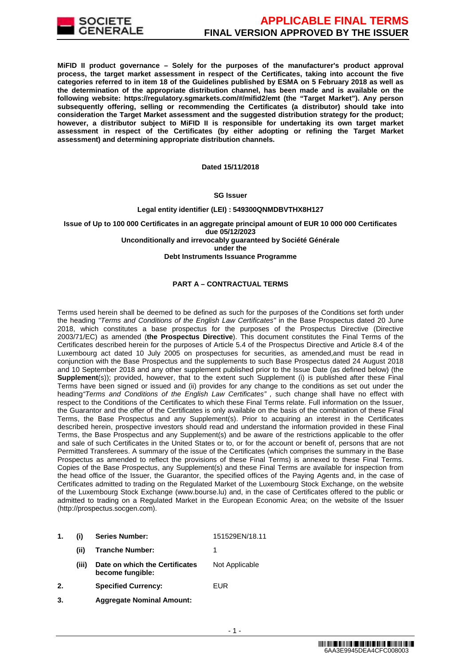

**MiFID II product governance – Solely for the purposes of the manufacturer's product approval process, the target market assessment in respect of the Certificates, taking into account the five categories referred to in item 18 of the Guidelines published by ESMA on 5 February 2018 as well as the determination of the appropriate distribution channel, has been made and is available on the following website: https://regulatory.sgmarkets.com/#/mifid2/emt (the "Target Market"). Any person subsequently offering, selling or recommending the Certificates (a distributor) should take into consideration the Target Market assessment and the suggested distribution strategy for the product; however, a distributor subject to MiFID II is responsible for undertaking its own target market assessment in respect of the Certificates (by either adopting or refining the Target Market assessment) and determining appropriate distribution channels.**

**Dated 15/11/2018**

#### **SG Issuer**

### **Legal entity identifier (LEI) : 549300QNMDBVTHX8H127**

**Issue of Up to 100 000 Certificates in an aggregate principal amount of EUR 10 000 000 Certificates due 05/12/2023 Unconditionally and irrevocably guaranteed by Société Générale under the Debt Instruments Issuance Programme**

### **PART A – CONTRACTUAL TERMS**

Terms used herein shall be deemed to be defined as such for the purposes of the Conditions set forth under the heading "Terms and Conditions of the English Law Certificates" in the Base Prospectus dated 20 June 2018, which constitutes a base prospectus for the purposes of the Prospectus Directive (Directive 2003/71/EC) as amended (**the Prospectus Directive**). This document constitutes the Final Terms of the Certificates described herein for the purposes of Article 5.4 of the Prospectus Directive and Article 8.4 of the Luxembourg act dated 10 July 2005 on prospectuses for securities, as amended,and must be read in conjunction with the Base Prospectus and the supplements to such Base Prospectus dated 24 August 2018 and 10 September 2018 and any other supplement published prior to the Issue Date (as defined below) (the **Supplement**(s)); provided, however, that to the extent such Supplement (i) is published after these Final Terms have been signed or issued and (ii) provides for any change to the conditions as set out under the heading "Terms and Conditions of the English Law Certificates", such change shall have no effect with respect to the Conditions of the Certificates to which these Final Terms relate. Full information on the Issuer, the Guarantor and the offer of the Certificates is only available on the basis of the combination of these Final Terms, the Base Prospectus and any Supplement(s). Prior to acquiring an interest in the Certificates described herein, prospective investors should read and understand the information provided in these Final Terms, the Base Prospectus and any Supplement(s) and be aware of the restrictions applicable to the offer and sale of such Certificates in the United States or to, or for the account or benefit of, persons that are not Permitted Transferees. A summary of the issue of the Certificates (which comprises the summary in the Base Prospectus as amended to reflect the provisions of these Final Terms) is annexed to these Final Terms. Copies of the Base Prospectus, any Supplement(s) and these Final Terms are available for inspection from the head office of the Issuer, the Guarantor, the specified offices of the Paying Agents and, in the case of Certificates admitted to trading on the Regulated Market of the Luxembourg Stock Exchange, on the website of the Luxembourg Stock Exchange (www.bourse.lu) and, in the case of Certificates offered to the public or admitted to trading on a Regulated Market in the European Economic Area; on the website of the Issuer (http://prospectus.socgen.com).

- **1. (i) Series Number:** 151529EN/18.11 **(ii) Tranche Number:** 1 **(iii) Date on which the Certificates**
- **become fungible:** Not Applicable **2. Specified Currency:** EUR
-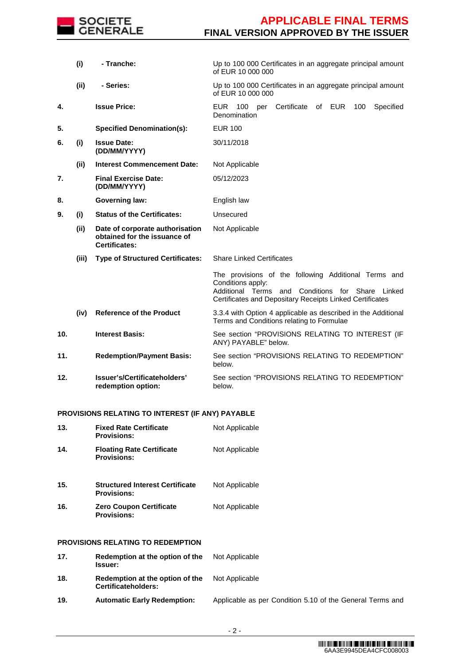

|     | (i)   | - Tranche:                                                                              | Up to 100 000 Certificates in an aggregate principal amount<br>of EUR 10 000 000                                                                                                                   |
|-----|-------|-----------------------------------------------------------------------------------------|----------------------------------------------------------------------------------------------------------------------------------------------------------------------------------------------------|
|     | (ii)  | - Series:                                                                               | Up to 100 000 Certificates in an aggregate principal amount<br>of EUR 10 000 000                                                                                                                   |
| 4.  |       | <b>Issue Price:</b>                                                                     | Certificate<br>of EUR<br><b>EUR</b><br>100<br>Specified<br>100<br>per<br>Denomination                                                                                                              |
| 5.  |       | <b>Specified Denomination(s):</b>                                                       | <b>EUR 100</b>                                                                                                                                                                                     |
| 6.  | (i)   | <b>Issue Date:</b><br>(DD/MM/YYYY)                                                      | 30/11/2018                                                                                                                                                                                         |
|     | (ii)  | <b>Interest Commencement Date:</b>                                                      | Not Applicable                                                                                                                                                                                     |
| 7.  |       | <b>Final Exercise Date:</b><br>(DD/MM/YYYY)                                             | 05/12/2023                                                                                                                                                                                         |
| 8.  |       | <b>Governing law:</b>                                                                   | English law                                                                                                                                                                                        |
| 9.  | (i)   | <b>Status of the Certificates:</b>                                                      | Unsecured                                                                                                                                                                                          |
|     | (ii)  | Date of corporate authorisation<br>obtained for the issuance of<br><b>Certificates:</b> | Not Applicable                                                                                                                                                                                     |
|     | (iii) | <b>Type of Structured Certificates:</b>                                                 | <b>Share Linked Certificates</b>                                                                                                                                                                   |
|     |       |                                                                                         | The provisions of the following Additional Terms and<br>Conditions apply:<br>Additional Terms and<br>Conditions<br>for Share<br>Linked<br>Certificates and Depositary Receipts Linked Certificates |
|     | (iv)  | <b>Reference of the Product</b>                                                         | 3.3.4 with Option 4 applicable as described in the Additional<br>Terms and Conditions relating to Formulae                                                                                         |
| 10. |       | <b>Interest Basis:</b>                                                                  | See section "PROVISIONS RELATING TO INTEREST (IF<br>ANY) PAYABLE" below.                                                                                                                           |
| 11. |       | <b>Redemption/Payment Basis:</b>                                                        | See section "PROVISIONS RELATING TO REDEMPTION"<br>below.                                                                                                                                          |
| 12. |       | Issuer's/Certificateholders'<br>redemption option:                                      | See section "PROVISIONS RELATING TO REDEMPTION"<br>below.                                                                                                                                          |

# **PROVISIONS RELATING TO INTEREST (IF ANY) PAYABLE**

| 13. | <b>Fixed Rate Certificate</b><br><b>Provisions:</b>          | Not Applicable |
|-----|--------------------------------------------------------------|----------------|
| 14. | <b>Floating Rate Certificate</b><br><b>Provisions:</b>       | Not Applicable |
| 15. | <b>Structured Interest Certificate</b><br><b>Provisions:</b> | Not Applicable |
| 16. | <b>Zero Coupon Certificate</b><br><b>Provisions:</b>         | Not Applicable |
|     | PROVISIONS RELATING TO REDEMPTION                            |                |
| 17. | Redemption at the option of the<br><b>Issuer:</b>            | Not Applicable |
| 18. | Redemption at the option of the<br>Certificateholders:       | Not Applicable |

**19. Automatic Early Redemption:** Applicable as per Condition 5.10 of the General Terms and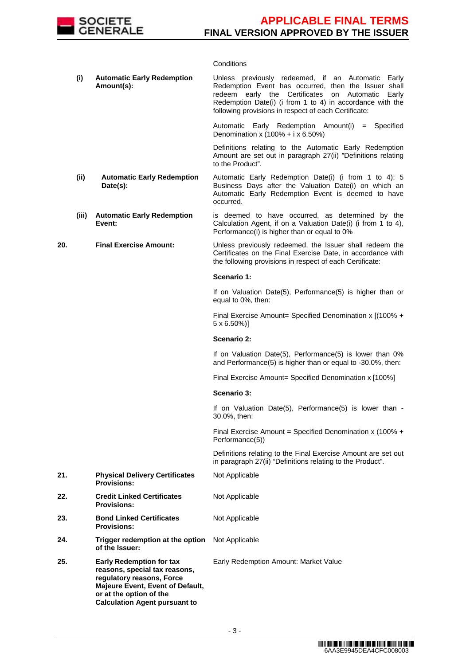

## **Conditions**

|     | (i)   | <b>Automatic Early Redemption</b><br>Amount(s):                                                                                                                                                      | Unless previously redeemed, if an Automatic Early<br>Redemption Event has occurred, then the Issuer shall<br>redeem early the Certificates on Automatic<br>Early<br>Redemption Date(i) (i from 1 to 4) in accordance with the<br>following provisions in respect of each Certificate: |
|-----|-------|------------------------------------------------------------------------------------------------------------------------------------------------------------------------------------------------------|---------------------------------------------------------------------------------------------------------------------------------------------------------------------------------------------------------------------------------------------------------------------------------------|
|     |       |                                                                                                                                                                                                      | Automatic Early Redemption Amount(i)<br>$=$ Specified<br>Denomination x (100% + i x 6.50%)                                                                                                                                                                                            |
|     |       |                                                                                                                                                                                                      | Definitions relating to the Automatic Early Redemption<br>Amount are set out in paragraph 27(ii) "Definitions relating<br>to the Product".                                                                                                                                            |
|     | (ii)  | <b>Automatic Early Redemption</b><br>Date(s):                                                                                                                                                        | Automatic Early Redemption Date(i) (i from 1 to 4): 5<br>Business Days after the Valuation Date(i) on which an<br>Automatic Early Redemption Event is deemed to have<br>occurred.                                                                                                     |
|     | (iii) | <b>Automatic Early Redemption</b><br>Event:                                                                                                                                                          | is deemed to have occurred, as determined by the<br>Calculation Agent, if on a Valuation Date(i) (i from 1 to 4),<br>Performance(i) is higher than or equal to 0%                                                                                                                     |
| 20. |       | <b>Final Exercise Amount:</b>                                                                                                                                                                        | Unless previously redeemed, the Issuer shall redeem the<br>Certificates on the Final Exercise Date, in accordance with<br>the following provisions in respect of each Certificate:                                                                                                    |
|     |       |                                                                                                                                                                                                      | Scenario 1:                                                                                                                                                                                                                                                                           |
|     |       |                                                                                                                                                                                                      | If on Valuation Date(5), Performance(5) is higher than or<br>equal to 0%, then:                                                                                                                                                                                                       |
|     |       |                                                                                                                                                                                                      | Final Exercise Amount= Specified Denomination x [(100% +<br>$5 \times 6.50\%$ ]                                                                                                                                                                                                       |
|     |       |                                                                                                                                                                                                      | Scenario 2:                                                                                                                                                                                                                                                                           |
|     |       |                                                                                                                                                                                                      | If on Valuation Date(5), Performance(5) is lower than 0%<br>and Performance(5) is higher than or equal to -30.0%, then:                                                                                                                                                               |
|     |       |                                                                                                                                                                                                      | Final Exercise Amount= Specified Denomination x [100%]                                                                                                                                                                                                                                |
|     |       |                                                                                                                                                                                                      | Scenario 3:                                                                                                                                                                                                                                                                           |
|     |       |                                                                                                                                                                                                      | If on Valuation Date(5), Performance(5) is lower than -<br>30.0%, then:                                                                                                                                                                                                               |
|     |       |                                                                                                                                                                                                      | Final Exercise Amount = Specified Denomination x (100% +<br>Performance(5))                                                                                                                                                                                                           |
|     |       |                                                                                                                                                                                                      | Definitions relating to the Final Exercise Amount are set out<br>in paragraph 27(ii) "Definitions relating to the Product".                                                                                                                                                           |
| 21. |       | <b>Physical Delivery Certificates</b><br><b>Provisions:</b>                                                                                                                                          | Not Applicable                                                                                                                                                                                                                                                                        |
| 22. |       | <b>Credit Linked Certificates</b><br><b>Provisions:</b>                                                                                                                                              | Not Applicable                                                                                                                                                                                                                                                                        |
| 23. |       | <b>Bond Linked Certificates</b><br><b>Provisions:</b>                                                                                                                                                | Not Applicable                                                                                                                                                                                                                                                                        |
| 24. |       | Trigger redemption at the option<br>of the Issuer:                                                                                                                                                   | Not Applicable                                                                                                                                                                                                                                                                        |
| 25. |       | <b>Early Redemption for tax</b><br>reasons, special tax reasons,<br>regulatory reasons, Force<br>Majeure Event, Event of Default,<br>or at the option of the<br><b>Calculation Agent pursuant to</b> | Early Redemption Amount: Market Value                                                                                                                                                                                                                                                 |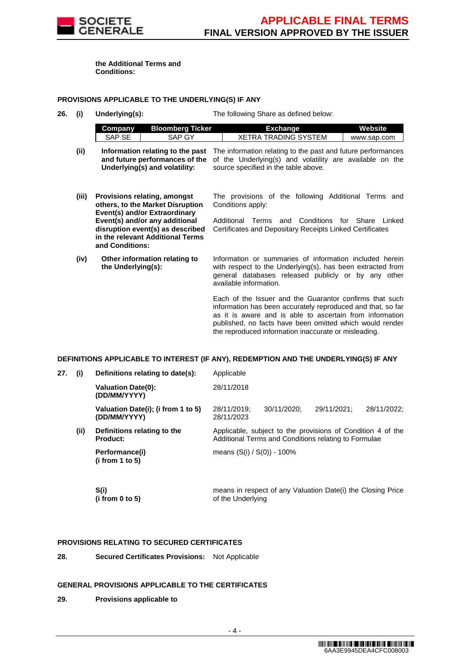

**the Additional Terms and Conditions:**

### **PROVISIONS APPLICABLE TO THE UNDERLYING(S) IF ANY**

**26. (i) Underlying(s):** The following Share as defined below:

|      | Company | Bloomberg Ticker | Exchange                                                                                                                                                                                                                 | Website     |
|------|---------|------------------|--------------------------------------------------------------------------------------------------------------------------------------------------------------------------------------------------------------------------|-------------|
|      | SAP SE  | SAP GY           | XETRA TRADING SYSTEM                                                                                                                                                                                                     | www.sap.com |
| (ii) |         |                  | Information relating to the past The information relating to the past and future performances<br>المواجه والمامان ويتواصل ويتالنه المرادي والمتواصل والمستردات والمستحد والمتاري والمستحدث والمستحدث والمستحدث والمستحدث |             |

- **and future performances of the** of the Underlying(s) and volatility are available on the **Underlying(s) and volatility:** source specified in the table above.
- **(iii) Provisions relating, amongst others, to the Market Disruption Event(s) and/or Extraordinary Event(s) and/or any additional disruption event(s) as described in the relevant Additional Terms and Conditions:** The provisions of the following Additional Terms and Conditions apply: Additional Terms and Conditions for Share Linked Certificates and Depositary Receipts Linked Certificates
- **(iv) Other information relating to the Underlying(s):** Information or summaries of information included herein with respect to the Underlying(s), has been extracted from general databases released publicly or by any other available information.

Each of the Issuer and the Guarantor confirms that such information has been accurately reproduced and that, so far as it is aware and is able to ascertain from information published, no facts have been omitted which would render the reproduced information inaccurate or misleading.

#### **DEFINITIONS APPLICABLE TO INTEREST (IF ANY), REDEMPTION AND THE UNDERLYING(S) IF ANY**

| 27. | (i)  | Definitions relating to date(s):                   | Applicable                    |             |                                                                                                                     |             |
|-----|------|----------------------------------------------------|-------------------------------|-------------|---------------------------------------------------------------------------------------------------------------------|-------------|
|     |      | <b>Valuation Date(0):</b><br>(DD/MM/YYYY)          | 28/11/2018                    |             |                                                                                                                     |             |
|     |      | Valuation Date(i); (i from 1 to 5)<br>(DD/MM/YYYY) | 28/11/2019;<br>28/11/2023     | 30/11/2020: | 29/11/2021:                                                                                                         | 28/11/2022: |
|     | (ii) | Definitions relating to the<br><b>Product:</b>     |                               |             | Applicable, subject to the provisions of Condition 4 of the<br>Additional Terms and Conditions relating to Formulae |             |
|     |      | Performance(i)<br>(i from 1 to 5)                  | means $(S(i) / S(0)) - 100\%$ |             |                                                                                                                     |             |
|     |      | S(i)                                               |                               |             | means in respect of any Valuation Date(i) the Closing Price                                                         |             |

of the Underlying

# **PROVISIONS RELATING TO SECURED CERTIFICATES**

**28. Secured Certificates Provisions:** Not Applicable

### **GENERAL PROVISIONS APPLICABLE TO THE CERTIFICATES**

**29. Provisions applicable to** 

**(i from 0 to 5)**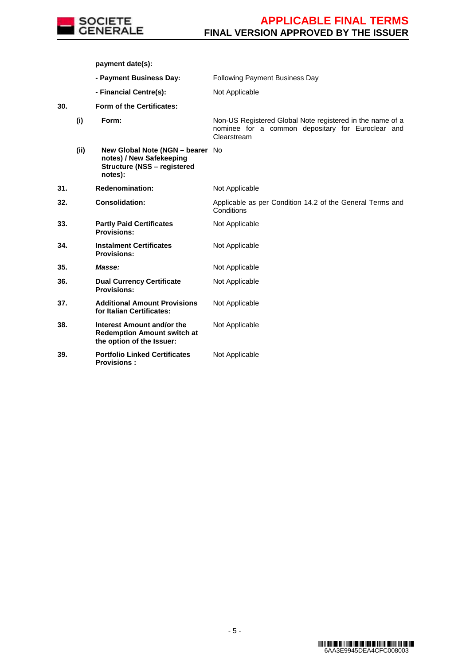

**payment date(s):**

 **- Payment Business Day:** Following Payment Business Day **- Financial Centre(s):** Not Applicable **30. Form of the Certificates: (i) Form:** Non-US Registered Global Note registered in the name of a nominee for a common depositary for Euroclear and Clearstream **(ii) New Global Note (NGN – bearer**  No **notes) / New Safekeeping Structure (NSS – registered notes): 31. Redenomination:** Not Applicable **32. Consolidation:** Applicable as per Condition 14.2 of the General Terms and **Conditions 33. Partly Paid Certificates Provisions:** Not Applicable **34. Instalment Certificates Provisions:** Not Applicable **35. Masse: Masse:** Not Applicable **36. Dual Currency Certificate Provisions:** Not Applicable **37. Additional Amount Provisions for Italian Certificates:** Not Applicable **38. Interest Amount and/or the Redemption Amount switch at the option of the Issuer:** Not Applicable **39. Portfolio Linked Certificates Provisions :** Not Applicable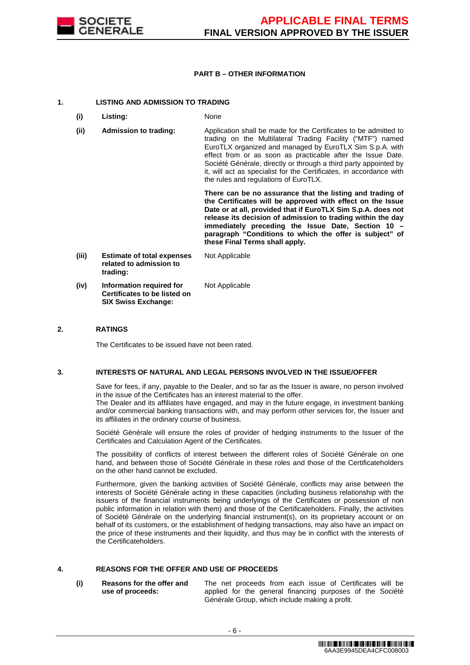

### **PART B – OTHER INFORMATION**

### **1. LISTING AND ADMISSION TO TRADING**

- **(i) Listing:** None
- **(ii) Admission to trading:** Application shall be made for the Certificates to be admitted to trading on the Multilateral Trading Facility ("MTF") named EuroTLX organized and managed by EuroTLX Sim S.p.A. with effect from or as soon as practicable after the Issue Date. Société Générale, directly or through a third party appointed by it, will act as specialist for the Certificates, in accordance with the rules and regulations of EuroTLX.

 **There can be no assurance that the listing and trading of the Certificates will be approved with effect on the Issue Date or at all, provided that if EuroTLX Sim S.p.A. does not release its decision of admission to trading within the day immediately preceding the Issue Date, Section 10 – paragraph "Conditions to which the offer is subject" of these Final Terms shall apply.**

**(iii) Estimate of total expenses related to admission to trading:** Not Applicable **(iv) Information required for Certificates to be listed on SIX Swiss Exchange:** Not Applicable

### **2. RATINGS**

The Certificates to be issued have not been rated.

#### **3. INTERESTS OF NATURAL AND LEGAL PERSONS INVOLVED IN THE ISSUE/OFFER**

 Save for fees, if any, payable to the Dealer, and so far as the Issuer is aware, no person involved in the issue of the Certificates has an interest material to the offer.

The Dealer and its affiliates have engaged, and may in the future engage, in investment banking and/or commercial banking transactions with, and may perform other services for, the Issuer and its affiliates in the ordinary course of business.

 Société Générale will ensure the roles of provider of hedging instruments to the Issuer of the Certificates and Calculation Agent of the Certificates.

 The possibility of conflicts of interest between the different roles of Société Générale on one hand, and between those of Société Générale in these roles and those of the Certificateholders on the other hand cannot be excluded.

 Furthermore, given the banking activities of Société Générale, conflicts may arise between the interests of Société Générale acting in these capacities (including business relationship with the issuers of the financial instruments being underlyings of the Certificates or possession of non public information in relation with them) and those of the Certificateholders. Finally, the activities of Société Générale on the underlying financial instrument(s), on its proprietary account or on behalf of its customers, or the establishment of hedging transactions, may also have an impact on the price of these instruments and their liquidity, and thus may be in conflict with the interests of the Certificateholders.

# **4. REASONS FOR THE OFFER AND USE OF PROCEEDS**

**(i) Reasons for the offer and use of proceeds:**

The net proceeds from each issue of Certificates will be applied for the general financing purposes of the Société Générale Group, which include making a profit.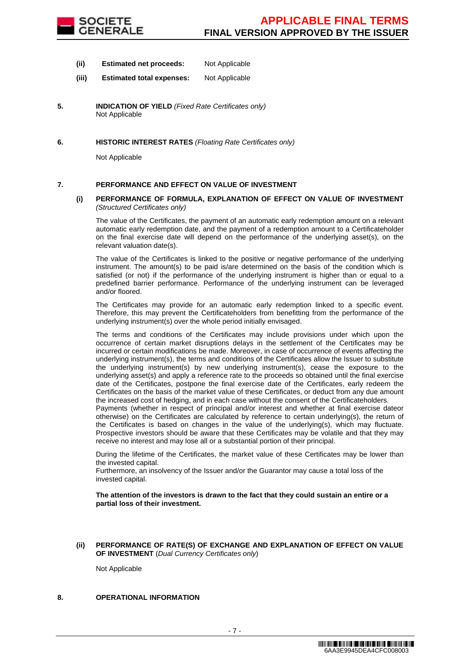

- **(ii) Estimated net proceeds:** Not Applicable
- **(iii) Estimated total expenses:** Not Applicable
- **5. INDICATION OF YIELD** (Fixed Rate Certificates only) Not Applicable
- **6. HISTORIC INTEREST RATES** (Floating Rate Certificates only)

Not Applicable

### **7. PERFORMANCE AND EFFECT ON VALUE OF INVESTMENT**

#### **(i) PERFORMANCE OF FORMULA, EXPLANATION OF EFFECT ON VALUE OF INVESTMENT**  (Structured Certificates only)

 The value of the Certificates, the payment of an automatic early redemption amount on a relevant automatic early redemption date, and the payment of a redemption amount to a Certificateholder on the final exercise date will depend on the performance of the underlying asset(s), on the relevant valuation date(s).

 The value of the Certificates is linked to the positive or negative performance of the underlying instrument. The amount(s) to be paid is/are determined on the basis of the condition which is satisfied (or not) if the performance of the underlying instrument is higher than or equal to a predefined barrier performance. Performance of the underlying instrument can be leveraged and/or floored.

 The Certificates may provide for an automatic early redemption linked to a specific event. Therefore, this may prevent the Certificateholders from benefitting from the performance of the underlying instrument(s) over the whole period initially envisaged.

 The terms and conditions of the Certificates may include provisions under which upon the occurrence of certain market disruptions delays in the settlement of the Certificates may be incurred or certain modifications be made. Moreover, in case of occurrence of events affecting the underlying instrument(s), the terms and conditions of the Certificates allow the Issuer to substitute the underlying instrument(s) by new underlying instrument(s), cease the exposure to the underlying asset(s) and apply a reference rate to the proceeds so obtained until the final exercise date of the Certificates, postpone the final exercise date of the Certificates, early redeem the Certificates on the basis of the market value of these Certificates, or deduct from any due amount the increased cost of hedging, and in each case without the consent of the Certificateholders.

Payments (whether in respect of principal and/or interest and whether at final exercise dateor otherwise) on the Certificates are calculated by reference to certain underlying(s), the return of the Certificates is based on changes in the value of the underlying(s), which may fluctuate. Prospective investors should be aware that these Certificates may be volatile and that they may receive no interest and may lose all or a substantial portion of their principal.

 During the lifetime of the Certificates, the market value of these Certificates may be lower than the invested capital.

Furthermore, an insolvency of the Issuer and/or the Guarantor may cause a total loss of the invested capital.

**The attention of the investors is drawn to the fact that they could sustain an entire or a partial loss of their investment.**

#### **(ii) PERFORMANCE OF RATE(S) OF EXCHANGE AND EXPLANATION OF EFFECT ON VALUE OF INVESTMENT** (Dual Currency Certificates only)

Not Applicable

# **8. OPERATIONAL INFORMATION**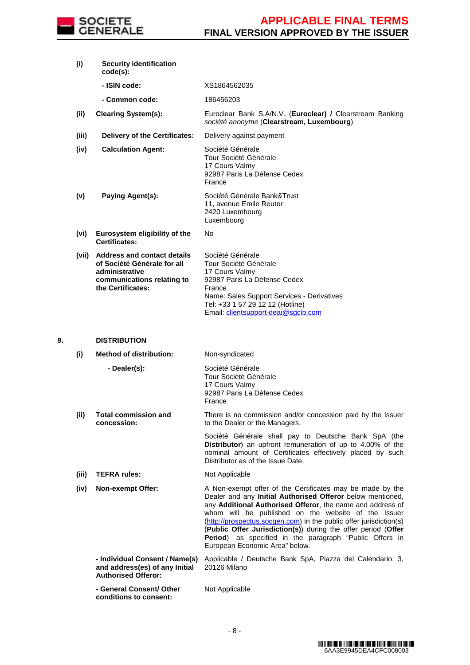

|    | (i)   | <b>Security identification</b><br>$code(s)$ :                                                                                         |                                                                                                                                                                                                                                                                                                                                                                                                                                                                                  |
|----|-------|---------------------------------------------------------------------------------------------------------------------------------------|----------------------------------------------------------------------------------------------------------------------------------------------------------------------------------------------------------------------------------------------------------------------------------------------------------------------------------------------------------------------------------------------------------------------------------------------------------------------------------|
|    |       | - ISIN code:                                                                                                                          | XS1864562035                                                                                                                                                                                                                                                                                                                                                                                                                                                                     |
|    |       | - Common code:                                                                                                                        | 186456203                                                                                                                                                                                                                                                                                                                                                                                                                                                                        |
|    | (ii)  | <b>Clearing System(s):</b>                                                                                                            | Euroclear Bank S.A/N.V. (Euroclear) / Clearstream Banking<br>société anonyme (Clearstream, Luxembourg)                                                                                                                                                                                                                                                                                                                                                                           |
|    | (iii) | <b>Delivery of the Certificates:</b>                                                                                                  | Delivery against payment                                                                                                                                                                                                                                                                                                                                                                                                                                                         |
|    | (iv)  | <b>Calculation Agent:</b>                                                                                                             | Société Générale<br>Tour Société Générale<br>17 Cours Valmy<br>92987 Paris La Défense Cedex<br>France                                                                                                                                                                                                                                                                                                                                                                            |
|    | (v)   | Paying Agent(s):                                                                                                                      | Société Générale Bank&Trust<br>11, avenue Emile Reuter<br>2420 Luxembourg<br>Luxembourg                                                                                                                                                                                                                                                                                                                                                                                          |
|    | (vi)  | Eurosystem eligibility of the<br><b>Certificates:</b>                                                                                 | No                                                                                                                                                                                                                                                                                                                                                                                                                                                                               |
|    |       | (vii) Address and contact details<br>of Société Générale for all<br>administrative<br>communications relating to<br>the Certificates: | Société Générale<br>Tour Société Générale<br>17 Cours Valmy<br>92987 Paris La Défense Cedex<br>France<br>Name: Sales Support Services - Derivatives<br>Tel: +33 1 57 29 12 12 (Hotline)<br>Email: clientsupport-deai@sgcib.com                                                                                                                                                                                                                                                   |
|    |       |                                                                                                                                       |                                                                                                                                                                                                                                                                                                                                                                                                                                                                                  |
| 9. |       | <b>DISTRIBUTION</b>                                                                                                                   |                                                                                                                                                                                                                                                                                                                                                                                                                                                                                  |
|    | (i)   | <b>Method of distribution:</b>                                                                                                        | Non-syndicated                                                                                                                                                                                                                                                                                                                                                                                                                                                                   |
|    |       | - Dealer(s):                                                                                                                          | Société Générale<br>Tour Société Générale<br>17 Cours Valmy<br>92987 Paris La Défense Cedex<br>France                                                                                                                                                                                                                                                                                                                                                                            |
|    | (ii)  | <b>Total commission and</b><br>concession:                                                                                            | There is no commission and/or concession paid by the Issuer<br>to the Dealer or the Managers.                                                                                                                                                                                                                                                                                                                                                                                    |
|    |       |                                                                                                                                       | Société Générale shall pay to Deutsche Bank SpA (the<br>Distributor) an upfront remuneration of up to 4.00% of the<br>nominal amount of Certificates effectively placed by such<br>Distributor as of the Issue Date.                                                                                                                                                                                                                                                             |
|    | (iii) | <b>TEFRA rules:</b>                                                                                                                   | Not Applicable                                                                                                                                                                                                                                                                                                                                                                                                                                                                   |
|    | (iv)  | <b>Non-exempt Offer:</b>                                                                                                              | A Non-exempt offer of the Certificates may be made by the<br>Dealer and any Initial Authorised Offeror below mentioned,<br>any Additional Authorised Offeror, the name and address of<br>whom will be published on the website of the Issuer<br>(http://prospectus.socgen.com) in the public offer jurisdiction(s)<br>(Public Offer Jurisdiction(s)) during the offer period (Offer<br>Period) as specified in the paragraph "Public Offers in<br>European Economic Area" below. |
|    |       | - Individual Consent / Name(s)<br>and address(es) of any Initial<br><b>Authorised Offeror:</b>                                        | Applicable / Deutsche Bank SpA, Piazza del Calendario, 3,<br>20126 Milano                                                                                                                                                                                                                                                                                                                                                                                                        |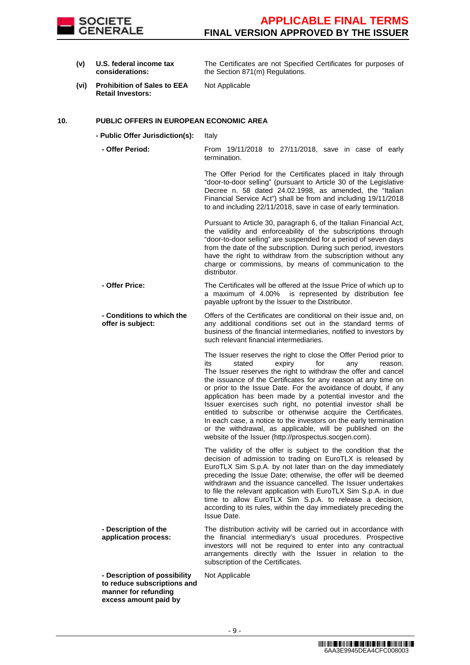

**(v) U.S. federal income tax considerations:**

The Certificates are not Specified Certificates for purposes of the Section 871(m) Regulations.

**(vi) Prohibition of Sales to EEA Retail Investors:**

Not Applicable

## **10. PUBLIC OFFERS IN EUROPEAN ECONOMIC AREA**

**- Public Offer Jurisdiction(s):** Italy

 **- Offer Period:** From 19/11/2018 to 27/11/2018, save in case of early termination.

> The Offer Period for the Certificates placed in Italy through "door-to-door selling" (pursuant to Article 30 of the Legislative Decree n. 58 dated 24.02.1998, as amended, the "Italian Financial Service Act") shall be from and including 19/11/2018 to and including 22/11/2018, save in case of early termination.

Pursuant to Article 30, paragraph 6, of the Italian Financial Act, the validity and enforceability of the subscriptions through "door-to-door selling" are suspended for a period of seven days from the date of the subscription. During such period, investors have the right to withdraw from the subscription without any charge or commissions, by means of communication to the distributor.

- **Offer Price:** The Certificates will be offered at the Issue Price of which up to a maximum of 4.00% is represented by distribution fee payable upfront by the Issuer to the Distributor.
- **Conditions to which the offer is subject:** Offers of the Certificates are conditional on their issue and, on any additional conditions set out in the standard terms of business of the financial intermediaries, notified to investors by such relevant financial intermediaries.

The Issuer reserves the right to close the Offer Period prior to its stated expiry for any reason. The Issuer reserves the right to withdraw the offer and cancel the issuance of the Certificates for any reason at any time on or prior to the Issue Date. For the avoidance of doubt, if any application has been made by a potential investor and the Issuer exercises such right, no potential investor shall be entitled to subscribe or otherwise acquire the Certificates. In each case, a notice to the investors on the early termination or the withdrawal, as applicable, will be published on the website of the Issuer (http://prospectus.socgen.com).

 The validity of the offer is subject to the condition that the decision of admission to trading on EuroTLX is released by EuroTLX Sim S.p.A. by not later than on the day immediately preceding the Issue Date; otherwise, the offer will be deemed withdrawn and the issuance cancelled. The Issuer undertakes to file the relevant application with EuroTLX Sim S.p.A. in due time to allow EuroTLX Sim S.p.A. to release a decision, according to its rules, within the day immediately preceding the Issue Date.

 **- Description of the application process:** The distribution activity will be carried out in accordance with the financial intermediary's usual procedures. Prospective investors will not be required to enter into any contractual arrangements directly with the Issuer in relation to the subscription of the Certificates.

 **- Description of possibility to reduce subscriptions and manner for refunding excess amount paid by** 

Not Applicable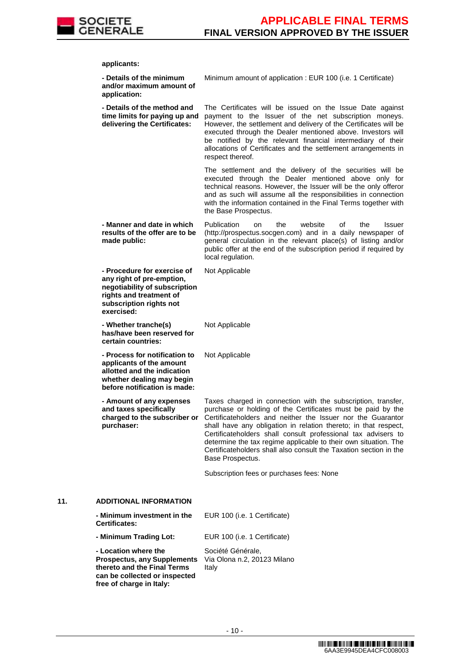

**applicants:**

|     | - Details of the minimum<br>and/or maximum amount of<br>application:                                                                                          | Minimum amount of application : EUR 100 (i.e. 1 Certificate)                                                                                                                                                                                                                                                                                                                                                                                                                               |
|-----|---------------------------------------------------------------------------------------------------------------------------------------------------------------|--------------------------------------------------------------------------------------------------------------------------------------------------------------------------------------------------------------------------------------------------------------------------------------------------------------------------------------------------------------------------------------------------------------------------------------------------------------------------------------------|
|     | - Details of the method and<br>time limits for paying up and<br>delivering the Certificates:                                                                  | The Certificates will be issued on the Issue Date against<br>payment to the Issuer of the net subscription moneys.<br>However, the settlement and delivery of the Certificates will be<br>executed through the Dealer mentioned above. Investors will<br>be notified by the relevant financial intermediary of their<br>allocations of Certificates and the settlement arrangements in<br>respect thereof.                                                                                 |
|     |                                                                                                                                                               | The settlement and the delivery of the securities will be<br>executed through the Dealer mentioned above only for<br>technical reasons. However, the Issuer will be the only offeror<br>and as such will assume all the responsibilities in connection<br>with the information contained in the Final Terms together with<br>the Base Prospectus.                                                                                                                                          |
|     | - Manner and date in which<br>results of the offer are to be<br>made public:                                                                                  | Publication<br>the<br>website<br>οf<br>the<br>on<br><b>Issuer</b><br>(http://prospectus.socgen.com) and in a daily newspaper of<br>general circulation in the relevant place(s) of listing and/or<br>public offer at the end of the subscription period if required by<br>local regulation.                                                                                                                                                                                                |
|     | - Procedure for exercise of<br>any right of pre-emption,<br>negotiability of subscription<br>rights and treatment of<br>subscription rights not<br>exercised: | Not Applicable                                                                                                                                                                                                                                                                                                                                                                                                                                                                             |
|     | - Whether tranche(s)<br>has/have been reserved for<br>certain countries:                                                                                      | Not Applicable                                                                                                                                                                                                                                                                                                                                                                                                                                                                             |
|     | - Process for notification to<br>applicants of the amount<br>allotted and the indication<br>whether dealing may begin<br>before notification is made:         | Not Applicable                                                                                                                                                                                                                                                                                                                                                                                                                                                                             |
|     | - Amount of any expenses<br>and taxes specifically<br>charged to the subscriber or<br>purchaser:                                                              | Taxes charged in connection with the subscription, transfer,<br>purchase or holding of the Certificates must be paid by the<br>Certificateholders and neither the Issuer nor the Guarantor<br>shall have any obligation in relation thereto; in that respect,<br>Certificateholders shall consult professional tax advisers to<br>determine the tax regime applicable to their own situation. The<br>Certificateholders shall also consult the Taxation section in the<br>Base Prospectus. |
|     |                                                                                                                                                               | Subscription fees or purchases fees: None                                                                                                                                                                                                                                                                                                                                                                                                                                                  |
| 11. | <b>ADDITIONAL INFORMATION</b>                                                                                                                                 |                                                                                                                                                                                                                                                                                                                                                                                                                                                                                            |
|     | - Minimum investment in the<br><b>Certificates:</b>                                                                                                           | EUR 100 (i.e. 1 Certificate)                                                                                                                                                                                                                                                                                                                                                                                                                                                               |
|     | - Minimum Trading Lot:                                                                                                                                        | EUR 100 (i.e. 1 Certificate)                                                                                                                                                                                                                                                                                                                                                                                                                                                               |
|     | - Location where the<br><b>Prospectus, any Supplements</b><br>thereto and the Final Terms<br>can be collected or inspected<br>free of charge in Italy:        | Société Générale,<br>Via Olona n.2, 20123 Milano<br>Italy                                                                                                                                                                                                                                                                                                                                                                                                                                  |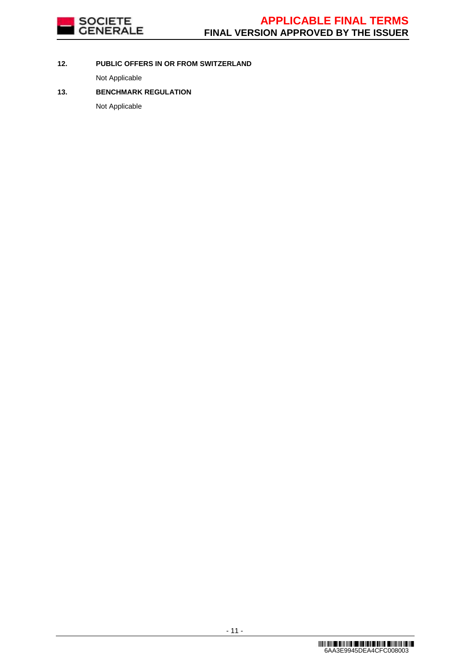

# **12. PUBLIC OFFERS IN OR FROM SWITZERLAND**

Not Applicable

# **13. BENCHMARK REGULATION**

Not Applicable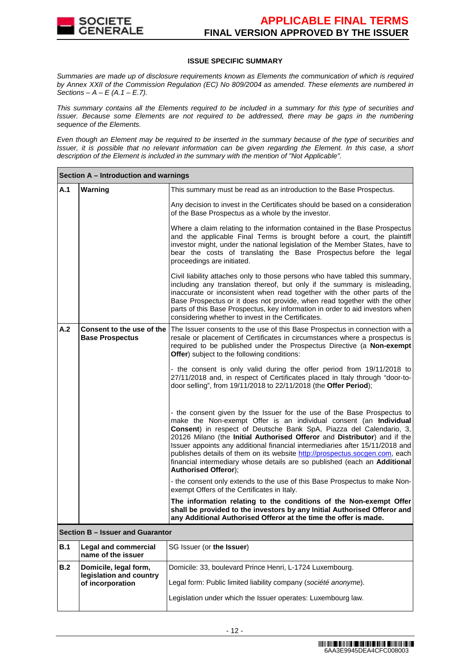

### **ISSUE SPECIFIC SUMMARY**

Summaries are made up of disclosure requirements known as Elements the communication of which is required by Annex XXII of the Commission Regulation (EC) No 809/2004 as amended. These elements are numbered in Sections –  $A - E(A.1 - E.7)$ .

This summary contains all the Elements required to be included in a summary for this type of securities and Issuer. Because some Elements are not required to be addressed, there may be gaps in the numbering sequence of the Elements.

Even though an Element may be required to be inserted in the summary because of the type of securities and Issuer, it is possible that no relevant information can be given regarding the Element. In this case, a short description of the Element is included in the summary with the mention of "Not Applicable".

|            | Section A – Introduction and warnings               |                                                                                                                                                                                                                                                                                                                                                                                                                                                                                                                                                                     |  |  |  |
|------------|-----------------------------------------------------|---------------------------------------------------------------------------------------------------------------------------------------------------------------------------------------------------------------------------------------------------------------------------------------------------------------------------------------------------------------------------------------------------------------------------------------------------------------------------------------------------------------------------------------------------------------------|--|--|--|
| A.1        | Warning                                             | This summary must be read as an introduction to the Base Prospectus.                                                                                                                                                                                                                                                                                                                                                                                                                                                                                                |  |  |  |
|            |                                                     | Any decision to invest in the Certificates should be based on a consideration<br>of the Base Prospectus as a whole by the investor.                                                                                                                                                                                                                                                                                                                                                                                                                                 |  |  |  |
|            |                                                     | Where a claim relating to the information contained in the Base Prospectus<br>and the applicable Final Terms is brought before a court, the plaintiff<br>investor might, under the national legislation of the Member States, have to<br>bear the costs of translating the Base Prospectus before the legal<br>proceedings are initiated.                                                                                                                                                                                                                           |  |  |  |
|            |                                                     | Civil liability attaches only to those persons who have tabled this summary,<br>including any translation thereof, but only if the summary is misleading,<br>inaccurate or inconsistent when read together with the other parts of the<br>Base Prospectus or it does not provide, when read together with the other<br>parts of this Base Prospectus, key information in order to aid investors when<br>considering whether to invest in the Certificates.                                                                                                          |  |  |  |
| A.2        | Consent to the use of the<br><b>Base Prospectus</b> | The Issuer consents to the use of this Base Prospectus in connection with a<br>resale or placement of Certificates in circumstances where a prospectus is<br>required to be published under the Prospectus Directive (a Non-exempt<br><b>Offer</b> ) subject to the following conditions:                                                                                                                                                                                                                                                                           |  |  |  |
|            |                                                     | - the consent is only valid during the offer period from 19/11/2018 to<br>27/11/2018 and, in respect of Certificates placed in Italy through "door-to-<br>door selling", from 19/11/2018 to 22/11/2018 (the Offer Period);                                                                                                                                                                                                                                                                                                                                          |  |  |  |
|            |                                                     | - the consent given by the Issuer for the use of the Base Prospectus to<br>make the Non-exempt Offer is an individual consent (an Individual<br>Consent) in respect of Deutsche Bank SpA, Piazza del Calendario, 3,<br>20126 Milano (the Initial Authorised Offeror and Distributor) and if the<br>Issuer appoints any additional financial intermediaries after 15/11/2018 and<br>publishes details of them on its website http://prospectus.socgen.com, each<br>financial intermediary whose details are so published (each an Additional<br>Authorised Offeror); |  |  |  |
|            |                                                     | - the consent only extends to the use of this Base Prospectus to make Non-<br>exempt Offers of the Certificates in Italy.                                                                                                                                                                                                                                                                                                                                                                                                                                           |  |  |  |
|            |                                                     | The information relating to the conditions of the Non-exempt Offer<br>shall be provided to the investors by any Initial Authorised Offeror and<br>any Additional Authorised Offeror at the time the offer is made.                                                                                                                                                                                                                                                                                                                                                  |  |  |  |
|            | Section B - Issuer and Guarantor                    |                                                                                                                                                                                                                                                                                                                                                                                                                                                                                                                                                                     |  |  |  |
| <b>B.1</b> | <b>Legal and commercial</b><br>name of the issuer   | SG Issuer (or the Issuer)                                                                                                                                                                                                                                                                                                                                                                                                                                                                                                                                           |  |  |  |
| B.2        | Domicile, legal form,<br>legislation and country    | Domicile: 33, boulevard Prince Henri, L-1724 Luxembourg.                                                                                                                                                                                                                                                                                                                                                                                                                                                                                                            |  |  |  |
|            | of incorporation                                    | Legal form: Public limited liability company (société anonyme).                                                                                                                                                                                                                                                                                                                                                                                                                                                                                                     |  |  |  |
|            |                                                     | Legislation under which the Issuer operates: Luxembourg law.                                                                                                                                                                                                                                                                                                                                                                                                                                                                                                        |  |  |  |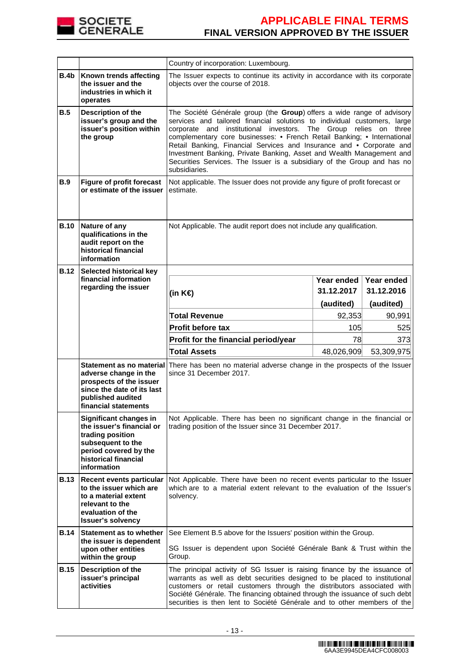

|             |                                                                                                                                                              | Country of incorporation: Luxembourg.                                                                                                                                                                                                                                                                                                                                                                                                                                                                                                         |                          |                          |  |
|-------------|--------------------------------------------------------------------------------------------------------------------------------------------------------------|-----------------------------------------------------------------------------------------------------------------------------------------------------------------------------------------------------------------------------------------------------------------------------------------------------------------------------------------------------------------------------------------------------------------------------------------------------------------------------------------------------------------------------------------------|--------------------------|--------------------------|--|
| B.4b        | Known trends affecting<br>the issuer and the<br>industries in which it<br>operates                                                                           | The Issuer expects to continue its activity in accordance with its corporate<br>objects over the course of 2018.                                                                                                                                                                                                                                                                                                                                                                                                                              |                          |                          |  |
| <b>B.5</b>  | Description of the<br>issuer's group and the<br>issuer's position within<br>the group                                                                        | The Société Générale group (the Group) offers a wide range of advisory<br>services and tailored financial solutions to individual customers, large<br>corporate and institutional investors. The Group relies on three<br>complementary core businesses: • French Retail Banking; • International<br>Retail Banking, Financial Services and Insurance and • Corporate and<br>Investment Banking, Private Banking, Asset and Wealth Management and<br>Securities Services. The Issuer is a subsidiary of the Group and has no<br>subsidiaries. |                          |                          |  |
| <b>B.9</b>  | <b>Figure of profit forecast</b><br>or estimate of the issuer                                                                                                | Not applicable. The Issuer does not provide any figure of profit forecast or<br>estimate.                                                                                                                                                                                                                                                                                                                                                                                                                                                     |                          |                          |  |
| <b>B.10</b> | Nature of any<br>qualifications in the<br>audit report on the<br>historical financial<br>information                                                         | Not Applicable. The audit report does not include any qualification.                                                                                                                                                                                                                                                                                                                                                                                                                                                                          |                          |                          |  |
| <b>B.12</b> | <b>Selected historical key</b><br>financial information                                                                                                      |                                                                                                                                                                                                                                                                                                                                                                                                                                                                                                                                               |                          |                          |  |
|             | regarding the issuer                                                                                                                                         |                                                                                                                                                                                                                                                                                                                                                                                                                                                                                                                                               | Year ended<br>31.12.2017 | Year ended<br>31.12.2016 |  |
|             |                                                                                                                                                              | (in K€)                                                                                                                                                                                                                                                                                                                                                                                                                                                                                                                                       |                          |                          |  |
|             |                                                                                                                                                              |                                                                                                                                                                                                                                                                                                                                                                                                                                                                                                                                               | (audited)                | (audited)                |  |
|             |                                                                                                                                                              | <b>Total Revenue</b>                                                                                                                                                                                                                                                                                                                                                                                                                                                                                                                          | 92,353                   | 90,991                   |  |
|             |                                                                                                                                                              | <b>Profit before tax</b>                                                                                                                                                                                                                                                                                                                                                                                                                                                                                                                      | 105                      | 525                      |  |
|             |                                                                                                                                                              | Profit for the financial period/year                                                                                                                                                                                                                                                                                                                                                                                                                                                                                                          | 78                       | 373                      |  |
|             |                                                                                                                                                              | <b>Total Assets</b>                                                                                                                                                                                                                                                                                                                                                                                                                                                                                                                           | 48,026,909               | 53,309,975               |  |
|             | Statement as no material<br>adverse change in the<br>prospects of the issuer<br>since the date of its last<br>published audited<br>financial statements      | There has been no material adverse change in the prospects of the Issuer<br>since 31 December 2017.                                                                                                                                                                                                                                                                                                                                                                                                                                           |                          |                          |  |
|             | Significant changes in<br>the issuer's financial or<br>trading position<br>subsequent to the<br>period covered by the<br>historical financial<br>information | Not Applicable. There has been no significant change in the financial or<br>trading position of the Issuer since 31 December 2017.                                                                                                                                                                                                                                                                                                                                                                                                            |                          |                          |  |
| <b>B.13</b> | <b>Recent events particular</b><br>to the issuer which are<br>to a material extent<br>relevant to the<br>evaluation of the<br><b>Issuer's solvency</b>       | Not Applicable. There have been no recent events particular to the Issuer<br>which are to a material extent relevant to the evaluation of the Issuer's<br>solvency.                                                                                                                                                                                                                                                                                                                                                                           |                          |                          |  |
| <b>B.14</b> | Statement as to whether                                                                                                                                      | See Element B.5 above for the Issuers' position within the Group.                                                                                                                                                                                                                                                                                                                                                                                                                                                                             |                          |                          |  |
|             | the issuer is dependent<br>upon other entities<br>within the group                                                                                           | SG Issuer is dependent upon Société Générale Bank & Trust within the<br>Group.                                                                                                                                                                                                                                                                                                                                                                                                                                                                |                          |                          |  |
| <b>B.15</b> | Description of the<br>issuer's principal<br>activities                                                                                                       | The principal activity of SG Issuer is raising finance by the issuance of<br>warrants as well as debt securities designed to be placed to institutional<br>customers or retail customers through the distributors associated with<br>Société Générale. The financing obtained through the issuance of such debt<br>securities is then lent to Société Générale and to other members of the                                                                                                                                                    |                          |                          |  |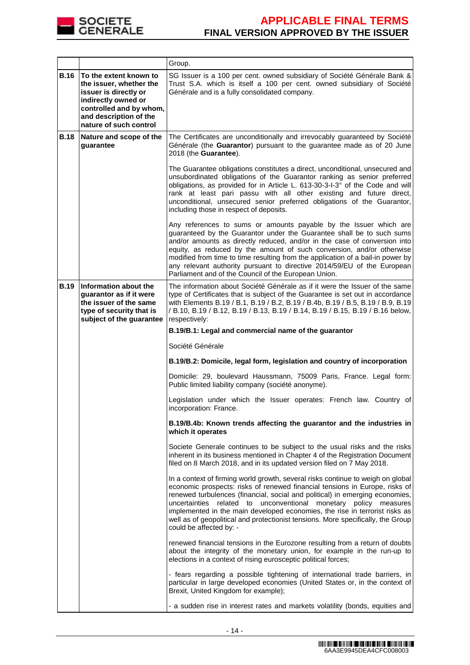

|             |                                                                                                                                                                                  | Group.                                                                                                                                                                                                                                                                                                                                                                                                                                                                                                                 |
|-------------|----------------------------------------------------------------------------------------------------------------------------------------------------------------------------------|------------------------------------------------------------------------------------------------------------------------------------------------------------------------------------------------------------------------------------------------------------------------------------------------------------------------------------------------------------------------------------------------------------------------------------------------------------------------------------------------------------------------|
| <b>B.16</b> | To the extent known to<br>the issuer, whether the<br>issuer is directly or<br>indirectly owned or<br>controlled and by whom,<br>and description of the<br>nature of such control | SG Issuer is a 100 per cent. owned subsidiary of Société Générale Bank &<br>Trust S.A. which is itself a 100 per cent. owned subsidiary of Société<br>Générale and is a fully consolidated company.                                                                                                                                                                                                                                                                                                                    |
| <b>B.18</b> | Nature and scope of the<br>guarantee                                                                                                                                             | The Certificates are unconditionally and irrevocably guaranteed by Société<br>Générale (the Guarantor) pursuant to the guarantee made as of 20 June<br>2018 (the Guarantee).                                                                                                                                                                                                                                                                                                                                           |
|             |                                                                                                                                                                                  | The Guarantee obligations constitutes a direct, unconditional, unsecured and<br>unsubordinated obligations of the Guarantor ranking as senior preferred<br>obligations, as provided for in Article L. 613-30-3-I-3° of the Code and will<br>rank at least pari passu with all other existing and future direct,<br>unconditional, unsecured senior preferred obligations of the Guarantor,<br>including those in respect of deposits.                                                                                  |
|             |                                                                                                                                                                                  | Any references to sums or amounts payable by the Issuer which are<br>guaranteed by the Guarantor under the Guarantee shall be to such sums<br>and/or amounts as directly reduced, and/or in the case of conversion into<br>equity, as reduced by the amount of such conversion, and/or otherwise<br>modified from time to time resulting from the application of a bail-in power by<br>any relevant authority pursuant to directive 2014/59/EU of the European<br>Parliament and of the Council of the European Union. |
| <b>B.19</b> | Information about the<br>guarantor as if it were<br>the issuer of the same<br>type of security that is<br>subject of the guarantee                                               | The information about Société Générale as if it were the Issuer of the same<br>type of Certificates that is subject of the Guarantee is set out in accordance<br>with Elements B.19 / B.1, B.19 / B.2, B.19 / B.4b, B.19 / B.5, B.19 / B.9, B.19<br>/ B.10, B.19 / B.12, B.19 / B.13, B.19 / B.14, B.19 / B.15, B.19 / B.16 below,<br>respectively:                                                                                                                                                                    |
|             |                                                                                                                                                                                  | B.19/B.1: Legal and commercial name of the guarantor                                                                                                                                                                                                                                                                                                                                                                                                                                                                   |
|             |                                                                                                                                                                                  | Société Générale                                                                                                                                                                                                                                                                                                                                                                                                                                                                                                       |
|             |                                                                                                                                                                                  | B.19/B.2: Domicile, legal form, legislation and country of incorporation                                                                                                                                                                                                                                                                                                                                                                                                                                               |
|             |                                                                                                                                                                                  | Domicile: 29, boulevard Haussmann, 75009 Paris, France. Legal form:<br>Public limited liability company (société anonyme).                                                                                                                                                                                                                                                                                                                                                                                             |
|             |                                                                                                                                                                                  | Legislation under which the Issuer operates: French law. Country of<br>incorporation: France.                                                                                                                                                                                                                                                                                                                                                                                                                          |
|             |                                                                                                                                                                                  | B.19/B.4b: Known trends affecting the guarantor and the industries in<br>which it operates                                                                                                                                                                                                                                                                                                                                                                                                                             |
|             |                                                                                                                                                                                  | Societe Generale continues to be subject to the usual risks and the risks<br>inherent in its business mentioned in Chapter 4 of the Registration Document<br>filed on 8 March 2018, and in its updated version filed on 7 May 2018.                                                                                                                                                                                                                                                                                    |
|             |                                                                                                                                                                                  | In a context of firming world growth, several risks continue to weigh on global<br>economic prospects: risks of renewed financial tensions in Europe, risks of<br>renewed turbulences (financial, social and political) in emerging economies,<br>uncertainties related to unconventional monetary policy measures<br>implemented in the main developed economies, the rise in terrorist risks as<br>well as of geopolitical and protectionist tensions. More specifically, the Group<br>could be affected by: -       |
|             |                                                                                                                                                                                  | renewed financial tensions in the Eurozone resulting from a return of doubts<br>about the integrity of the monetary union, for example in the run-up to<br>elections in a context of rising eurosceptic political forces;                                                                                                                                                                                                                                                                                              |
|             |                                                                                                                                                                                  | - fears regarding a possible tightening of international trade barriers, in<br>particular in large developed economies (United States or, in the context of<br>Brexit, United Kingdom for example);                                                                                                                                                                                                                                                                                                                    |
|             |                                                                                                                                                                                  | - a sudden rise in interest rates and markets volatility (bonds, equities and                                                                                                                                                                                                                                                                                                                                                                                                                                          |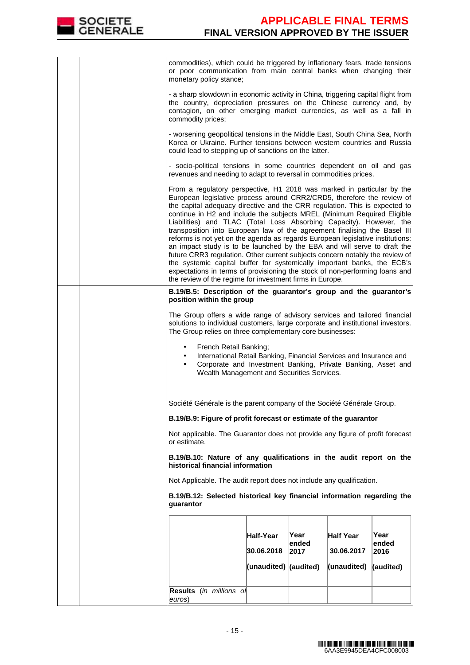

commodities), which could be triggered by inflationary fears, trade tensions or poor communication from main central banks when changing their monetary policy stance; - a sharp slowdown in economic activity in China, triggering capital flight from the country, depreciation pressures on the Chinese currency and, by contagion, on other emerging market currencies, as well as a fall in commodity prices; - worsening geopolitical tensions in the Middle East, South China Sea, North Korea or Ukraine. Further tensions between western countries and Russia could lead to stepping up of sanctions on the latter. - socio-political tensions in some countries dependent on oil and gas revenues and needing to adapt to reversal in commodities prices. From a regulatory perspective, H1 2018 was marked in particular by the European legislative process around CRR2/CRD5, therefore the review of the capital adequacy directive and the CRR regulation. This is expected to continue in H2 and include the subjects MREL (Minimum Required Eligible Liabilities) and TLAC (Total Loss Absorbing Capacity). However, the transposition into European law of the agreement finalising the Basel III reforms is not yet on the agenda as regards European legislative institutions: an impact study is to be launched by the EBA and will serve to draft the future CRR3 regulation. Other current subjects concern notably the review of the systemic capital buffer for systemically important banks, the ECB's expectations in terms of provisioning the stock of non-performing loans and the review of the regime for investment firms in Europe. **B.19/B.5: Description of the guarantor's group and the guarantor's position within the group**  The Group offers a wide range of advisory services and tailored financial solutions to individual customers, large corporate and institutional investors. The Group relies on three complementary core businesses: French Retail Banking: • International Retail Banking, Financial Services and Insurance and • Corporate and Investment Banking, Private Banking, Asset and Wealth Management and Securities Services. Société Générale is the parent company of the Société Générale Group. **B.19/B.9: Figure of profit forecast or estimate of the guarantor**  Not applicable. The Guarantor does not provide any figure of profit forecast or estimate. **B.19/B.10: Nature of any qualifications in the audit report on the historical financial information** Not Applicable. The audit report does not include any qualification. **B.19/B.12: Selected historical key financial information regarding the guarantor Half-Year 30.06.2018 (unaudited) (audited) Year ended 2017 Half Year 30.06.2017 (unaudited) Year ended 2016 (audited) Results** (in millions of euros)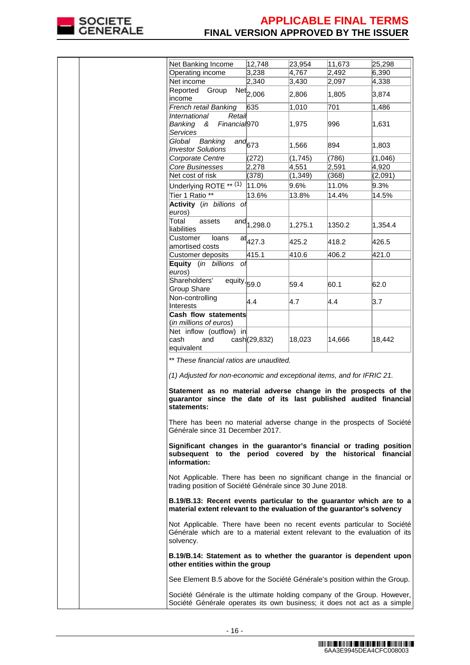

|  |                                                                                                                                                                                                                                                                          |                                  | 23,954   |                 | 25,298  |
|--|--------------------------------------------------------------------------------------------------------------------------------------------------------------------------------------------------------------------------------------------------------------------------|----------------------------------|----------|-----------------|---------|
|  | Net Banking Income<br>Operating income                                                                                                                                                                                                                                   | 12,748<br>3,238                  | 4,767    | 11,673<br>2,492 | 6,390   |
|  | Net income                                                                                                                                                                                                                                                               |                                  | 3,430    | 2,097           | 4,338   |
|  | Reported Group                                                                                                                                                                                                                                                           | 2,340                            |          |                 |         |
|  | income                                                                                                                                                                                                                                                                   | Net <sub>2,006</sub>             | 2,806    | 1,805           | 3,874   |
|  | French retail Banking                                                                                                                                                                                                                                                    | 635                              | 1,010    | 701             | 1,486   |
|  | International<br>Retail                                                                                                                                                                                                                                                  |                                  |          |                 |         |
|  | Financial <sub>970</sub><br>Banking<br>&<br>Services                                                                                                                                                                                                                     |                                  | 1,975    | 996             | 1,631   |
|  | Global Banking<br><b>Investor Solutions</b>                                                                                                                                                                                                                              | $\overline{a}$ nd <sub>673</sub> | 1,566    | 894             | 1,803   |
|  | Corporate Centre                                                                                                                                                                                                                                                         | (272)                            | (1,745)  | (786)           | (1,046) |
|  | Core Businesses                                                                                                                                                                                                                                                          | 2,278                            | 4,551    | 2,591           | 4,920   |
|  | Net cost of risk                                                                                                                                                                                                                                                         | (378)                            | (1, 349) | (368)           | (2,091) |
|  | Underlying ROTE ** (1)                                                                                                                                                                                                                                                   | 11.0%                            | 9.6%     | 11.0%           | 9.3%    |
|  | Tier 1 Ratio **                                                                                                                                                                                                                                                          | 13.6%                            | 13.8%    | 14.4%           | 14.5%   |
|  | Activity (in billions of<br>euros)                                                                                                                                                                                                                                       |                                  |          |                 |         |
|  | Total<br>assets<br>lliabilities                                                                                                                                                                                                                                          | and $1,298.0$                    | 1,275.1  | 1350.2          | 1,354.4 |
|  | Customer<br>loans<br>amortised costs                                                                                                                                                                                                                                     | $at_{427.3}$                     | 425.2    | 418.2           | 426.5   |
|  | Customer deposits                                                                                                                                                                                                                                                        | 415.1                            | 410.6    | 406.2           | 421.0   |
|  | Equity (in billions of<br>euros)                                                                                                                                                                                                                                         |                                  |          |                 |         |
|  | Shareholders'<br>$\overline{equity}$ , 59.0<br>Group Share                                                                                                                                                                                                               |                                  | 59.4     | 60.1            | 62.0    |
|  | Non-controlling<br>Interests                                                                                                                                                                                                                                             | $\vert 4.4 \vert$                | 4.7      | 4.4             | 3.7     |
|  | Cash flow statements<br>(in millions of euros)                                                                                                                                                                                                                           |                                  |          |                 |         |
|  | Net inflow (outflow) in<br>lcash<br>and<br>equivalent                                                                                                                                                                                                                    | cash(29,832)                     | 18,023   | 14,666          | 18,442  |
|  | ** These financial ratios are unaudited.<br>(1) Adjusted for non-economic and exceptional items, and for IFRIC 21.<br>Statement as no material adverse change in the prospects of the<br>guarantor since the date of its last published audited financial<br>statements: |                                  |          |                 |         |
|  | There has been no material adverse change in the prospects of Société<br>Générale since 31 December 2017.                                                                                                                                                                |                                  |          |                 |         |
|  | Significant changes in the guarantor's financial or trading position<br>subsequent to the period covered by the historical financial<br>information:                                                                                                                     |                                  |          |                 |         |
|  | Not Applicable. There has been no significant change in the financial or<br>trading position of Société Générale since 30 June 2018.                                                                                                                                     |                                  |          |                 |         |
|  | B.19/B.13: Recent events particular to the guarantor which are to a<br>material extent relevant to the evaluation of the guarantor's solvency                                                                                                                            |                                  |          |                 |         |
|  | Not Applicable. There have been no recent events particular to Société<br>Générale which are to a material extent relevant to the evaluation of its<br>solvency.                                                                                                         |                                  |          |                 |         |
|  | B.19/B.14: Statement as to whether the guarantor is dependent upon<br>other entities within the group                                                                                                                                                                    |                                  |          |                 |         |
|  | See Element B.5 above for the Société Générale's position within the Group.                                                                                                                                                                                              |                                  |          |                 |         |
|  | Société Générale is the ultimate holding company of the Group. However,<br>Société Générale operates its own business; it does not act as a simple                                                                                                                       |                                  |          |                 |         |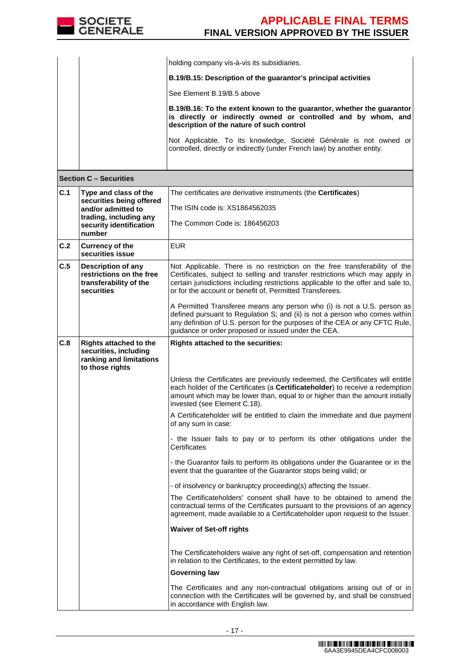

**Section C – Securities**

|  | holding company vis-à-vis its subsidiaries.                                                                                                                                           |
|--|---------------------------------------------------------------------------------------------------------------------------------------------------------------------------------------|
|  | B.19/B.15: Description of the guarantor's principal activities                                                                                                                        |
|  | See Element B.19/B.5 above                                                                                                                                                            |
|  | B.19/B.16: To the extent known to the guarantor, whether the guarantor<br>is directly or indirectly owned or controlled and by whom, and<br>description of the nature of such control |
|  | Not Applicable. To its knowledge, Société Générale is not owned or<br>controlled, directly or indirectly (under French law) by another entity.                                        |

| ucuuu u                                                                           |                                                                                                      |                                                                                                                                                                                                                                                                                                              |  |
|-----------------------------------------------------------------------------------|------------------------------------------------------------------------------------------------------|--------------------------------------------------------------------------------------------------------------------------------------------------------------------------------------------------------------------------------------------------------------------------------------------------------------|--|
| C.1                                                                               | Type and class of the<br>securities being offered                                                    | The certificates are derivative instruments (the Certificates)                                                                                                                                                                                                                                               |  |
| and/or admitted to<br>trading, including any<br>security identification<br>number |                                                                                                      | The ISIN code is: XS1864562035                                                                                                                                                                                                                                                                               |  |
|                                                                                   |                                                                                                      | The Common Code is: 186456203                                                                                                                                                                                                                                                                                |  |
| C.2                                                                               | <b>Currency of the</b><br>securities issue                                                           | <b>EUR</b>                                                                                                                                                                                                                                                                                                   |  |
| C.5                                                                               | <b>Description of any</b><br>restrictions on the free<br>transferability of the<br>securities        | Not Applicable. There is no restriction on the free transferability of the<br>Certificates, subject to selling and transfer restrictions which may apply in<br>certain jurisdictions including restrictions applicable to the offer and sale to,<br>or for the account or benefit of, Permitted Transferees. |  |
|                                                                                   |                                                                                                      | A Permitted Transferee means any person who (i) is not a U.S. person as<br>defined pursuant to Regulation S; and (ii) is not a person who comes within<br>any definition of U.S. person for the purposes of the CEA or any CFTC Rule,<br>guidance or order proposed or issued under the CEA.                 |  |
| C.8                                                                               | <b>Rights attached to the</b><br>securities, including<br>ranking and limitations<br>to those rights | Rights attached to the securities:                                                                                                                                                                                                                                                                           |  |
|                                                                                   |                                                                                                      | Unless the Certificates are previously redeemed, the Certificates will entitle<br>each holder of the Certificates (a Certificateholder) to receive a redemption<br>amount which may be lower than, equal to or higher than the amount initially<br>invested (see Element C.18).                              |  |
|                                                                                   |                                                                                                      | A Certificateholder will be entitled to claim the immediate and due payment<br>of any sum in case:                                                                                                                                                                                                           |  |
|                                                                                   |                                                                                                      | - the Issuer fails to pay or to perform its other obligations under the<br>Certificates                                                                                                                                                                                                                      |  |
|                                                                                   |                                                                                                      | - the Guarantor fails to perform its obligations under the Guarantee or in the<br>event that the guarantee of the Guarantor stops being valid; or                                                                                                                                                            |  |
|                                                                                   |                                                                                                      | - of insolvency or bankruptcy proceeding(s) affecting the Issuer.                                                                                                                                                                                                                                            |  |
|                                                                                   |                                                                                                      | The Certificateholders' consent shall have to be obtained to amend the<br>contractual terms of the Certificates pursuant to the provisions of an agency<br>agreement, made available to a Certificateholder upon request to the Issuer.                                                                      |  |
|                                                                                   |                                                                                                      | <b>Waiver of Set-off rights</b>                                                                                                                                                                                                                                                                              |  |
|                                                                                   |                                                                                                      | The Certificateholders waive any right of set-off, compensation and retention<br>in relation to the Certificates, to the extent permitted by law.                                                                                                                                                            |  |
|                                                                                   |                                                                                                      | <b>Governing law</b>                                                                                                                                                                                                                                                                                         |  |
|                                                                                   |                                                                                                      | The Certificates and any non-contractual obligations arising out of or in<br>connection with the Certificates will be governed by, and shall be construed<br>in accordance with English law.                                                                                                                 |  |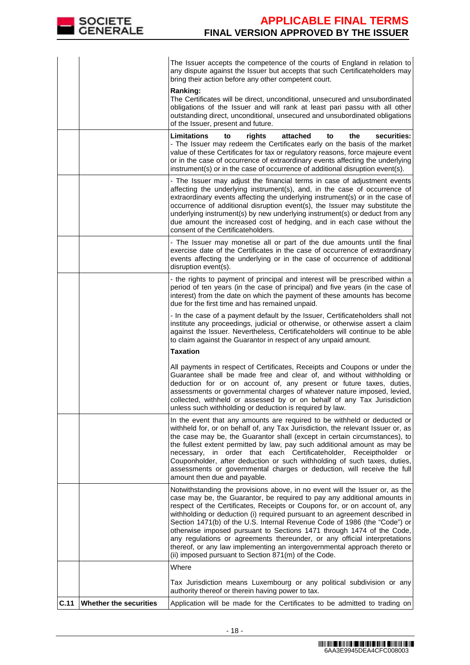

|      |                        | The Issuer accepts the competence of the courts of England in relation to<br>any dispute against the Issuer but accepts that such Certificateholders may<br>bring their action before any other competent court.                                                                                                                                                                                                                                                                                                                                                                                                                                                                               |
|------|------------------------|------------------------------------------------------------------------------------------------------------------------------------------------------------------------------------------------------------------------------------------------------------------------------------------------------------------------------------------------------------------------------------------------------------------------------------------------------------------------------------------------------------------------------------------------------------------------------------------------------------------------------------------------------------------------------------------------|
|      |                        | Ranking:<br>The Certificates will be direct, unconditional, unsecured and unsubordinated<br>obligations of the Issuer and will rank at least pari passu with all other<br>outstanding direct, unconditional, unsecured and unsubordinated obligations<br>of the Issuer, present and future.                                                                                                                                                                                                                                                                                                                                                                                                    |
|      |                        | Limitations<br>securities:<br>rights<br>attached<br>the<br>to<br>to<br>- The Issuer may redeem the Certificates early on the basis of the market<br>value of these Certificates for tax or regulatory reasons, force majeure event<br>or in the case of occurrence of extraordinary events affecting the underlying<br>instrument(s) or in the case of occurrence of additional disruption event(s).                                                                                                                                                                                                                                                                                           |
|      |                        | - The Issuer may adjust the financial terms in case of adjustment events<br>affecting the underlying instrument(s), and, in the case of occurrence of<br>extraordinary events affecting the underlying instrument(s) or in the case of<br>occurrence of additional disruption event(s), the Issuer may substitute the<br>underlying instrument(s) by new underlying instrument(s) or deduct from any<br>due amount the increased cost of hedging, and in each case without the<br>consent of the Certificateholders.                                                                                                                                                                           |
|      |                        | - The Issuer may monetise all or part of the due amounts until the final<br>exercise date of the Certificates in the case of occurrence of extraordinary<br>events affecting the underlying or in the case of occurrence of additional<br>disruption event(s).                                                                                                                                                                                                                                                                                                                                                                                                                                 |
|      |                        | - the rights to payment of principal and interest will be prescribed within a<br>period of ten years (in the case of principal) and five years (in the case of<br>interest) from the date on which the payment of these amounts has become<br>due for the first time and has remained unpaid.                                                                                                                                                                                                                                                                                                                                                                                                  |
|      |                        | - In the case of a payment default by the Issuer, Certificateholders shall not<br>institute any proceedings, judicial or otherwise, or otherwise assert a claim<br>against the Issuer. Nevertheless, Certificateholders will continue to be able<br>to claim against the Guarantor in respect of any unpaid amount.                                                                                                                                                                                                                                                                                                                                                                            |
|      |                        | <b>Taxation</b>                                                                                                                                                                                                                                                                                                                                                                                                                                                                                                                                                                                                                                                                                |
|      |                        | All payments in respect of Certificates, Receipts and Coupons or under the<br>Guarantee shall be made free and clear of, and without withholding or<br>deduction for or on account of, any present or future taxes, duties,<br>assessments or governmental charges of whatever nature imposed, levied,<br>collected, withheld or assessed by or on behalf of any Tax Jurisdiction<br>unless such withholding or deduction is required by law.                                                                                                                                                                                                                                                  |
|      |                        | In the event that any amounts are required to be withheld or deducted or<br>withheld for, or on behalf of, any Tax Jurisdiction, the relevant Issuer or, as<br>the case may be, the Guarantor shall (except in certain circumstances), to<br>the fullest extent permitted by law, pay such additional amount as may be<br>necessary, in order that each Certificateholder,<br>Receiptholder or<br>Couponholder, after deduction or such withholding of such taxes, duties,<br>assessments or governmental charges or deduction, will receive the full<br>amount then due and payable.                                                                                                          |
|      |                        | Notwithstanding the provisions above, in no event will the Issuer or, as the<br>case may be, the Guarantor, be required to pay any additional amounts in<br>respect of the Certificates, Receipts or Coupons for, or on account of, any<br>withholding or deduction (i) required pursuant to an agreement described in<br>Section 1471(b) of the U.S. Internal Revenue Code of 1986 (the "Code") or<br>otherwise imposed pursuant to Sections 1471 through 1474 of the Code,<br>any regulations or agreements thereunder, or any official interpretations<br>thereof, or any law implementing an intergovernmental approach thereto or<br>(ii) imposed pursuant to Section 871(m) of the Code. |
|      |                        | Where                                                                                                                                                                                                                                                                                                                                                                                                                                                                                                                                                                                                                                                                                          |
|      |                        | Tax Jurisdiction means Luxembourg or any political subdivision or any<br>authority thereof or therein having power to tax.                                                                                                                                                                                                                                                                                                                                                                                                                                                                                                                                                                     |
| C.11 | Whether the securities | Application will be made for the Certificates to be admitted to trading on                                                                                                                                                                                                                                                                                                                                                                                                                                                                                                                                                                                                                     |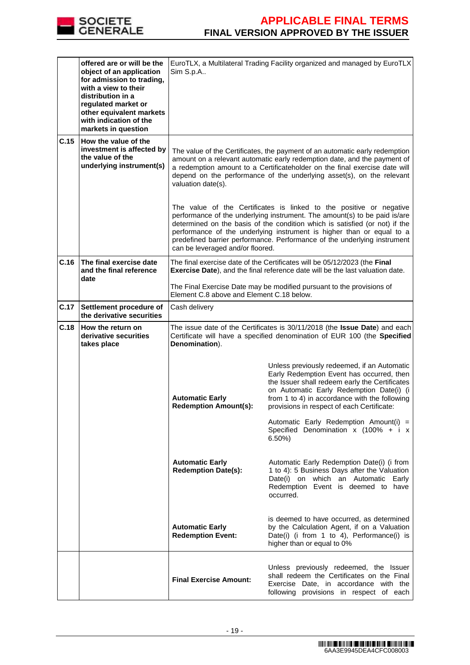

|      | offered are or will be the<br>object of an application<br>for admission to trading,<br>with a view to their<br>distribution in a<br>regulated market or<br>other equivalent markets<br>with indication of the<br>markets in question | EuroTLX, a Multilateral Trading Facility organized and managed by EuroTLX<br>Sim S.p.A                                                                                                                                                                                                                                                                                                                                   |                                                                                                                                                                                                                                                                                                                                                                                     |  |
|------|--------------------------------------------------------------------------------------------------------------------------------------------------------------------------------------------------------------------------------------|--------------------------------------------------------------------------------------------------------------------------------------------------------------------------------------------------------------------------------------------------------------------------------------------------------------------------------------------------------------------------------------------------------------------------|-------------------------------------------------------------------------------------------------------------------------------------------------------------------------------------------------------------------------------------------------------------------------------------------------------------------------------------------------------------------------------------|--|
| C.15 | How the value of the<br>investment is affected by<br>the value of the<br>underlying instrument(s)                                                                                                                                    | The value of the Certificates, the payment of an automatic early redemption<br>amount on a relevant automatic early redemption date, and the payment of<br>a redemption amount to a Certificateholder on the final exercise date will<br>depend on the performance of the underlying asset(s), on the relevant<br>valuation date(s).                                                                                     |                                                                                                                                                                                                                                                                                                                                                                                     |  |
|      |                                                                                                                                                                                                                                      | The value of the Certificates is linked to the positive or negative<br>performance of the underlying instrument. The amount(s) to be paid is/are<br>determined on the basis of the condition which is satisfied (or not) if the<br>performance of the underlying instrument is higher than or equal to a<br>predefined barrier performance. Performance of the underlying instrument<br>can be leveraged and/or floored. |                                                                                                                                                                                                                                                                                                                                                                                     |  |
| C.16 | The final exercise date<br>and the final reference<br>date                                                                                                                                                                           | The final exercise date of the Certificates will be 05/12/2023 (the Final<br>Exercise Date), and the final reference date will be the last valuation date.                                                                                                                                                                                                                                                               |                                                                                                                                                                                                                                                                                                                                                                                     |  |
|      |                                                                                                                                                                                                                                      | The Final Exercise Date may be modified pursuant to the provisions of<br>Element C.8 above and Element C.18 below.                                                                                                                                                                                                                                                                                                       |                                                                                                                                                                                                                                                                                                                                                                                     |  |
| C.17 | Settlement procedure of<br>the derivative securities                                                                                                                                                                                 | Cash delivery                                                                                                                                                                                                                                                                                                                                                                                                            |                                                                                                                                                                                                                                                                                                                                                                                     |  |
| C.18 | How the return on<br>derivative securities<br>takes place                                                                                                                                                                            | The issue date of the Certificates is 30/11/2018 (the Issue Date) and each<br>Certificate will have a specified denomination of EUR 100 (the Specified<br>Denomination).                                                                                                                                                                                                                                                 |                                                                                                                                                                                                                                                                                                                                                                                     |  |
|      |                                                                                                                                                                                                                                      | <b>Automatic Early</b><br><b>Redemption Amount(s):</b>                                                                                                                                                                                                                                                                                                                                                                   | Unless previously redeemed, if an Automatic<br>Early Redemption Event has occurred, then<br>the Issuer shall redeem early the Certificates<br>on Automatic Early Redemption Date(i) (i<br>from 1 to 4) in accordance with the following<br>provisions in respect of each Certificate:<br>Automatic Early Redemption Amount(i) =<br>Specified Denomination x (100% + i x<br>$6.50\%$ |  |
|      |                                                                                                                                                                                                                                      | <b>Automatic Early</b><br><b>Redemption Date(s):</b>                                                                                                                                                                                                                                                                                                                                                                     | Automatic Early Redemption Date(i) (i from<br>1 to 4): 5 Business Days after the Valuation<br>Date(i) on which an Automatic Early<br>Redemption Event is deemed to have<br>occurred.                                                                                                                                                                                                |  |
|      |                                                                                                                                                                                                                                      | <b>Automatic Early</b><br><b>Redemption Event:</b>                                                                                                                                                                                                                                                                                                                                                                       | is deemed to have occurred, as determined<br>by the Calculation Agent, if on a Valuation<br>Date(i) (i from 1 to 4), Performance(i) is<br>higher than or equal to 0%                                                                                                                                                                                                                |  |
|      |                                                                                                                                                                                                                                      | <b>Final Exercise Amount:</b>                                                                                                                                                                                                                                                                                                                                                                                            | Unless previously redeemed, the Issuer<br>shall redeem the Certificates on the Final<br>Exercise Date, in accordance with the<br>following provisions in respect of each                                                                                                                                                                                                            |  |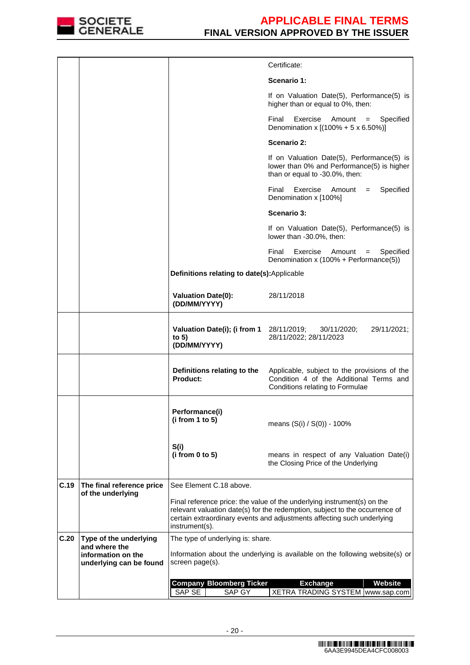

|      |                                                                |                                                                                                                                                                                                                                                    | Certificate:                                                                                                               |  |  |  |
|------|----------------------------------------------------------------|----------------------------------------------------------------------------------------------------------------------------------------------------------------------------------------------------------------------------------------------------|----------------------------------------------------------------------------------------------------------------------------|--|--|--|
|      |                                                                |                                                                                                                                                                                                                                                    | Scenario 1:                                                                                                                |  |  |  |
|      |                                                                |                                                                                                                                                                                                                                                    | If on Valuation Date(5), Performance(5) is<br>higher than or equal to 0%, then:                                            |  |  |  |
|      |                                                                |                                                                                                                                                                                                                                                    | Exercise<br>Final<br>Amount<br>Specified<br>$=$<br>Denomination x $[(100\% + 5 \times 6.50\%)]$                            |  |  |  |
|      |                                                                |                                                                                                                                                                                                                                                    | Scenario 2:                                                                                                                |  |  |  |
|      |                                                                |                                                                                                                                                                                                                                                    | If on Valuation Date(5), Performance(5) is<br>lower than 0% and Performance(5) is higher<br>than or equal to -30.0%, then: |  |  |  |
|      |                                                                |                                                                                                                                                                                                                                                    | Final<br>Exercise<br>Specified<br>Amount<br>$=$<br>Denomination x [100%]                                                   |  |  |  |
|      |                                                                |                                                                                                                                                                                                                                                    | Scenario 3:                                                                                                                |  |  |  |
|      |                                                                |                                                                                                                                                                                                                                                    | If on Valuation Date(5), Performance(5) is<br>lower than -30.0%, then:                                                     |  |  |  |
|      |                                                                |                                                                                                                                                                                                                                                    | Final<br>Exercise<br>Amount<br>Specified<br>$\qquad \qquad =$<br>Denomination x (100% + Performance(5))                    |  |  |  |
|      |                                                                | Definitions relating to date(s):Applicable                                                                                                                                                                                                         |                                                                                                                            |  |  |  |
|      |                                                                | <b>Valuation Date(0):</b><br>(DD/MM/YYYY)                                                                                                                                                                                                          | 28/11/2018                                                                                                                 |  |  |  |
|      |                                                                | <b>Valuation Date(i); (i from 1</b> 28/11/2019;<br>to $5)$<br>(DD/MM/YYYY)                                                                                                                                                                         | 30/11/2020;<br>29/11/2021;<br>28/11/2022; 28/11/2023                                                                       |  |  |  |
|      |                                                                | Definitions relating to the<br><b>Product:</b>                                                                                                                                                                                                     | Applicable, subject to the provisions of the<br>Condition 4 of the Additional Terms and<br>Conditions relating to Formulae |  |  |  |
|      |                                                                | Performance(i)<br>(i from 1 to 5)                                                                                                                                                                                                                  | means (S(i) / S(0)) - 100%                                                                                                 |  |  |  |
|      |                                                                | S(i)<br>(i from 0 to 5)                                                                                                                                                                                                                            | means in respect of any Valuation Date(i)<br>the Closing Price of the Underlying                                           |  |  |  |
| C.19 | The final reference price                                      | See Element C.18 above.                                                                                                                                                                                                                            |                                                                                                                            |  |  |  |
|      | of the underlying                                              | Final reference price: the value of the underlying instrument(s) on the<br>relevant valuation date(s) for the redemption, subject to the occurrence of<br>certain extraordinary events and adjustments affecting such underlying<br>instrument(s). |                                                                                                                            |  |  |  |
| C.20 | Type of the underlying                                         | The type of underlying is: share.                                                                                                                                                                                                                  |                                                                                                                            |  |  |  |
|      | and where the<br>information on the<br>underlying can be found | Information about the underlying is available on the following website(s) or<br>screen page(s).                                                                                                                                                    |                                                                                                                            |  |  |  |
|      |                                                                | Website<br><b>Company Bloomberg Ticker</b><br><b>Exchange</b>                                                                                                                                                                                      |                                                                                                                            |  |  |  |
|      |                                                                | SAP SE<br>SAP GY<br>XETRA TRADING SYSTEM   www.sap.com                                                                                                                                                                                             |                                                                                                                            |  |  |  |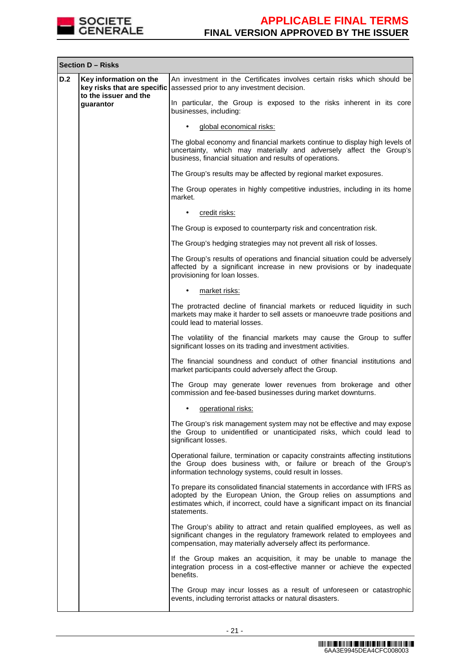

|     | <b>Section D - Risks</b>                                                                    |                                                                                                                                                                                                                                                     |  |  |
|-----|---------------------------------------------------------------------------------------------|-----------------------------------------------------------------------------------------------------------------------------------------------------------------------------------------------------------------------------------------------------|--|--|
| D.2 | Key information on the<br>key risks that are specific<br>to the issuer and the<br>guarantor | An investment in the Certificates involves certain risks which should be<br>assessed prior to any investment decision.                                                                                                                              |  |  |
|     |                                                                                             | In particular, the Group is exposed to the risks inherent in its core<br>businesses, including:                                                                                                                                                     |  |  |
|     |                                                                                             | global economical risks:                                                                                                                                                                                                                            |  |  |
|     |                                                                                             | The global economy and financial markets continue to display high levels of<br>uncertainty, which may materially and adversely affect the Group's<br>business, financial situation and results of operations.                                       |  |  |
|     |                                                                                             | The Group's results may be affected by regional market exposures.                                                                                                                                                                                   |  |  |
|     |                                                                                             | The Group operates in highly competitive industries, including in its home<br>market.                                                                                                                                                               |  |  |
|     |                                                                                             | credit risks:<br>$\bullet$                                                                                                                                                                                                                          |  |  |
|     |                                                                                             | The Group is exposed to counterparty risk and concentration risk.                                                                                                                                                                                   |  |  |
|     |                                                                                             | The Group's hedging strategies may not prevent all risk of losses.                                                                                                                                                                                  |  |  |
|     |                                                                                             | The Group's results of operations and financial situation could be adversely<br>affected by a significant increase in new provisions or by inadequate<br>provisioning for loan losses.                                                              |  |  |
|     |                                                                                             | market risks:                                                                                                                                                                                                                                       |  |  |
|     |                                                                                             | The protracted decline of financial markets or reduced liquidity in such<br>markets may make it harder to sell assets or manoeuvre trade positions and<br>could lead to material losses.                                                            |  |  |
|     |                                                                                             | The volatility of the financial markets may cause the Group to suffer<br>significant losses on its trading and investment activities.                                                                                                               |  |  |
|     |                                                                                             | The financial soundness and conduct of other financial institutions and<br>market participants could adversely affect the Group.                                                                                                                    |  |  |
|     |                                                                                             | The Group may generate lower revenues from brokerage and other<br>commission and fee-based businesses during market downturns.                                                                                                                      |  |  |
|     |                                                                                             | operational risks:                                                                                                                                                                                                                                  |  |  |
|     |                                                                                             | The Group's risk management system may not be effective and may expose<br>the Group to unidentified or unanticipated risks, which could lead to<br>significant losses.                                                                              |  |  |
|     |                                                                                             | Operational failure, termination or capacity constraints affecting institutions<br>the Group does business with, or failure or breach of the Group's<br>information technology systems, could result in losses.                                     |  |  |
|     |                                                                                             | To prepare its consolidated financial statements in accordance with IFRS as<br>adopted by the European Union, the Group relies on assumptions and<br>estimates which, if incorrect, could have a significant impact on its financial<br>statements. |  |  |
|     |                                                                                             | The Group's ability to attract and retain qualified employees, as well as<br>significant changes in the regulatory framework related to employees and<br>compensation, may materially adversely affect its performance.                             |  |  |
|     |                                                                                             | If the Group makes an acquisition, it may be unable to manage the<br>integration process in a cost-effective manner or achieve the expected<br>benefits.                                                                                            |  |  |
|     |                                                                                             | The Group may incur losses as a result of unforeseen or catastrophic<br>events, including terrorist attacks or natural disasters.                                                                                                                   |  |  |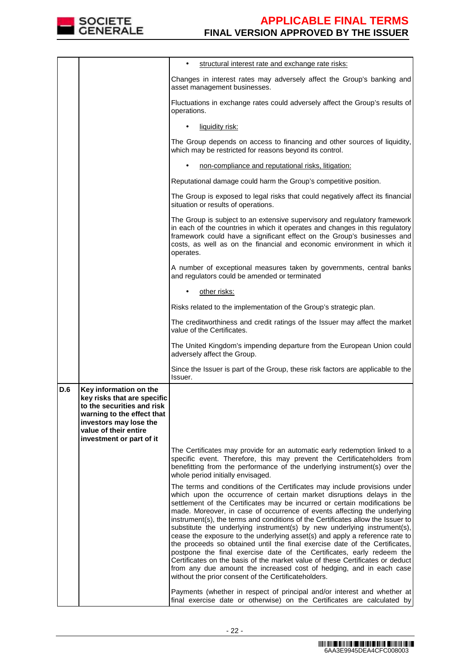

|     |                                                                                                                                                                                                  | structural interest rate and exchange rate risks:                                                                                                                                                                                                                                                                                                                                                                                                                                                                                                                                                                                                                                                                                                                                                                                                                                                                                   |  |  |
|-----|--------------------------------------------------------------------------------------------------------------------------------------------------------------------------------------------------|-------------------------------------------------------------------------------------------------------------------------------------------------------------------------------------------------------------------------------------------------------------------------------------------------------------------------------------------------------------------------------------------------------------------------------------------------------------------------------------------------------------------------------------------------------------------------------------------------------------------------------------------------------------------------------------------------------------------------------------------------------------------------------------------------------------------------------------------------------------------------------------------------------------------------------------|--|--|
|     |                                                                                                                                                                                                  | Changes in interest rates may adversely affect the Group's banking and<br>asset management businesses.                                                                                                                                                                                                                                                                                                                                                                                                                                                                                                                                                                                                                                                                                                                                                                                                                              |  |  |
|     |                                                                                                                                                                                                  | Fluctuations in exchange rates could adversely affect the Group's results of<br>operations.                                                                                                                                                                                                                                                                                                                                                                                                                                                                                                                                                                                                                                                                                                                                                                                                                                         |  |  |
|     |                                                                                                                                                                                                  | liquidity risk:                                                                                                                                                                                                                                                                                                                                                                                                                                                                                                                                                                                                                                                                                                                                                                                                                                                                                                                     |  |  |
|     |                                                                                                                                                                                                  | The Group depends on access to financing and other sources of liquidity,<br>which may be restricted for reasons beyond its control.                                                                                                                                                                                                                                                                                                                                                                                                                                                                                                                                                                                                                                                                                                                                                                                                 |  |  |
|     |                                                                                                                                                                                                  | non-compliance and reputational risks, litigation:                                                                                                                                                                                                                                                                                                                                                                                                                                                                                                                                                                                                                                                                                                                                                                                                                                                                                  |  |  |
|     |                                                                                                                                                                                                  | Reputational damage could harm the Group's competitive position.                                                                                                                                                                                                                                                                                                                                                                                                                                                                                                                                                                                                                                                                                                                                                                                                                                                                    |  |  |
|     |                                                                                                                                                                                                  | The Group is exposed to legal risks that could negatively affect its financial<br>situation or results of operations.                                                                                                                                                                                                                                                                                                                                                                                                                                                                                                                                                                                                                                                                                                                                                                                                               |  |  |
|     |                                                                                                                                                                                                  | The Group is subject to an extensive supervisory and regulatory framework<br>in each of the countries in which it operates and changes in this regulatory<br>framework could have a significant effect on the Group's businesses and<br>costs, as well as on the financial and economic environment in which it<br>operates.                                                                                                                                                                                                                                                                                                                                                                                                                                                                                                                                                                                                        |  |  |
|     |                                                                                                                                                                                                  | A number of exceptional measures taken by governments, central banks<br>and regulators could be amended or terminated                                                                                                                                                                                                                                                                                                                                                                                                                                                                                                                                                                                                                                                                                                                                                                                                               |  |  |
|     |                                                                                                                                                                                                  | other risks:                                                                                                                                                                                                                                                                                                                                                                                                                                                                                                                                                                                                                                                                                                                                                                                                                                                                                                                        |  |  |
|     |                                                                                                                                                                                                  | Risks related to the implementation of the Group's strategic plan.                                                                                                                                                                                                                                                                                                                                                                                                                                                                                                                                                                                                                                                                                                                                                                                                                                                                  |  |  |
|     |                                                                                                                                                                                                  | The creditworthiness and credit ratings of the Issuer may affect the market<br>value of the Certificates.                                                                                                                                                                                                                                                                                                                                                                                                                                                                                                                                                                                                                                                                                                                                                                                                                           |  |  |
|     |                                                                                                                                                                                                  | The United Kingdom's impending departure from the European Union could<br>adversely affect the Group.                                                                                                                                                                                                                                                                                                                                                                                                                                                                                                                                                                                                                                                                                                                                                                                                                               |  |  |
|     |                                                                                                                                                                                                  | Since the Issuer is part of the Group, these risk factors are applicable to the<br>Issuer.                                                                                                                                                                                                                                                                                                                                                                                                                                                                                                                                                                                                                                                                                                                                                                                                                                          |  |  |
| D.6 | Key information on the<br>key risks that are specific<br>to the securities and risk<br>warning to the effect that<br>investors may lose the<br>value of their entire<br>investment or part of it |                                                                                                                                                                                                                                                                                                                                                                                                                                                                                                                                                                                                                                                                                                                                                                                                                                                                                                                                     |  |  |
|     |                                                                                                                                                                                                  | The Certificates may provide for an automatic early redemption linked to a<br>specific event. Therefore, this may prevent the Certificateholders from<br>benefitting from the performance of the underlying instrument(s) over the<br>whole period initially envisaged.                                                                                                                                                                                                                                                                                                                                                                                                                                                                                                                                                                                                                                                             |  |  |
|     |                                                                                                                                                                                                  | The terms and conditions of the Certificates may include provisions under<br>which upon the occurrence of certain market disruptions delays in the<br>settlement of the Certificates may be incurred or certain modifications be<br>made. Moreover, in case of occurrence of events affecting the underlying<br>instrument(s), the terms and conditions of the Certificates allow the Issuer to<br>substitute the underlying instrument(s) by new underlying instrument(s),<br>cease the exposure to the underlying asset(s) and apply a reference rate to<br>the proceeds so obtained until the final exercise date of the Certificates,<br>postpone the final exercise date of the Certificates, early redeem the<br>Certificates on the basis of the market value of these Certificates or deduct<br>from any due amount the increased cost of hedging, and in each case<br>without the prior consent of the Certificateholders. |  |  |
|     |                                                                                                                                                                                                  | Payments (whether in respect of principal and/or interest and whether at<br>final exercise date or otherwise) on the Certificates are calculated by                                                                                                                                                                                                                                                                                                                                                                                                                                                                                                                                                                                                                                                                                                                                                                                 |  |  |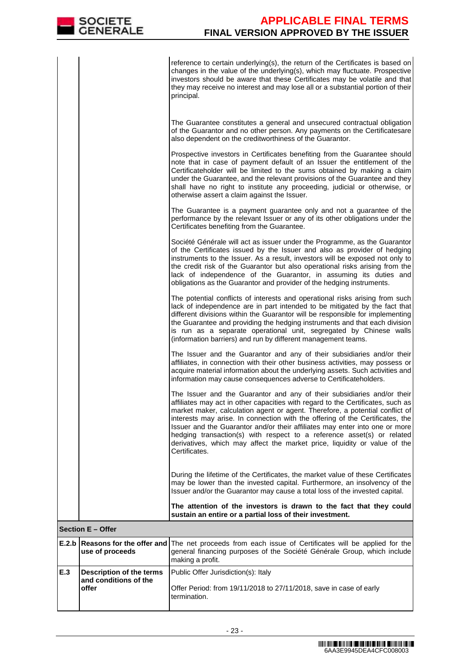reference to certain underlying(s), the return of the Certificates is based on changes in the value of the underlying(s), which may fluctuate. Prospective investors should be aware that these Certificates may be volatile and that they may receive no interest and may lose all or a substantial portion of their principal.

 The Guarantee constitutes a general and unsecured contractual obligation of the Guarantor and no other person. Any payments on the Certificatesare also dependent on the creditworthiness of the Guarantor.

|       |                                              | also dependent on the creditworthiness of the Guarantor.                                                                                                                                                                                                                                                                                                                                                                                                                                                                                                                           |
|-------|----------------------------------------------|------------------------------------------------------------------------------------------------------------------------------------------------------------------------------------------------------------------------------------------------------------------------------------------------------------------------------------------------------------------------------------------------------------------------------------------------------------------------------------------------------------------------------------------------------------------------------------|
|       |                                              | Prospective investors in Certificates benefiting from the Guarantee should<br>note that in case of payment default of an Issuer the entitlement of the<br>Certificateholder will be limited to the sums obtained by making a claim<br>under the Guarantee, and the relevant provisions of the Guarantee and they<br>shall have no right to institute any proceeding, judicial or otherwise, or<br>otherwise assert a claim against the Issuer.                                                                                                                                     |
|       |                                              | The Guarantee is a payment guarantee only and not a guarantee of the<br>performance by the relevant Issuer or any of its other obligations under the<br>Certificates benefiting from the Guarantee.                                                                                                                                                                                                                                                                                                                                                                                |
|       |                                              | Société Générale will act as issuer under the Programme, as the Guarantor<br>of the Certificates issued by the Issuer and also as provider of hedging<br>instruments to the Issuer. As a result, investors will be exposed not only to<br>the credit risk of the Guarantor but also operational risks arising from the<br>lack of independence of the Guarantor, in assuming its duties and<br>obligations as the Guarantor and provider of the hedging instruments.                                                                                                               |
|       |                                              | The potential conflicts of interests and operational risks arising from such<br>lack of independence are in part intended to be mitigated by the fact that<br>different divisions within the Guarantor will be responsible for implementing<br>the Guarantee and providing the hedging instruments and that each division<br>is run as a separate operational unit, segregated by Chinese walls<br>(information barriers) and run by different management teams.                                                                                                                   |
|       |                                              | The Issuer and the Guarantor and any of their subsidiaries and/or their<br>affiliates, in connection with their other business activities, may possess or<br>acquire material information about the underlying assets. Such activities and<br>information may cause consequences adverse to Certificateholders.                                                                                                                                                                                                                                                                    |
|       |                                              | The Issuer and the Guarantor and any of their subsidiaries and/or their<br>affiliates may act in other capacities with regard to the Certificates, such as<br>market maker, calculation agent or agent. Therefore, a potential conflict of<br>interests may arise. In connection with the offering of the Certificates, the<br>Issuer and the Guarantor and/or their affiliates may enter into one or more<br>hedging transaction(s) with respect to a reference asset(s) or related<br>derivatives, which may affect the market price, liquidity or value of the<br>Certificates. |
|       |                                              | During the lifetime of the Certificates, the market value of these Certificates<br>may be lower than the invested capital. Furthermore, an insolvency of the<br>Issuer and/or the Guarantor may cause a total loss of the invested capital.                                                                                                                                                                                                                                                                                                                                        |
|       |                                              | The attention of the investors is drawn to the fact that they could<br>sustain an entire or a partial loss of their investment.                                                                                                                                                                                                                                                                                                                                                                                                                                                    |
|       | Section E - Offer                            |                                                                                                                                                                                                                                                                                                                                                                                                                                                                                                                                                                                    |
| E.2.b | Reasons for the offer and<br>use of proceeds | The net proceeds from each issue of Certificates will be applied for the<br>general financing purposes of the Société Générale Group, which include<br>making a profit.                                                                                                                                                                                                                                                                                                                                                                                                            |
| E.3   | <b>Description of the terms</b>              | Public Offer Jurisdiction(s): Italy                                                                                                                                                                                                                                                                                                                                                                                                                                                                                                                                                |
|       | and conditions of the<br>offer               | Offer Period: from 19/11/2018 to 27/11/2018, save in case of early<br>termination.                                                                                                                                                                                                                                                                                                                                                                                                                                                                                                 |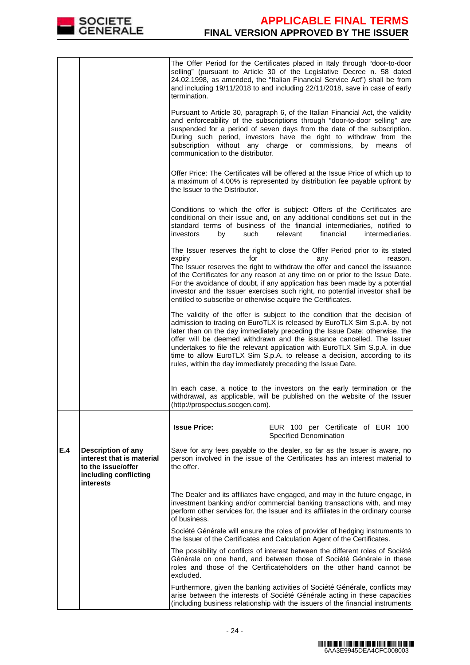

|     |                                                                                                                    | termination.                                                                                                                                                                                                                                                                                                                                                                                                                                                                                                  | The Offer Period for the Certificates placed in Italy through "door-to-door<br>selling" (pursuant to Article 30 of the Legislative Decree n. 58 dated<br>24.02.1998, as amended, the "Italian Financial Service Act") shall be from<br>and including 19/11/2018 to and including 22/11/2018, save in case of early                                                                                                                                                      |  |
|-----|--------------------------------------------------------------------------------------------------------------------|---------------------------------------------------------------------------------------------------------------------------------------------------------------------------------------------------------------------------------------------------------------------------------------------------------------------------------------------------------------------------------------------------------------------------------------------------------------------------------------------------------------|-------------------------------------------------------------------------------------------------------------------------------------------------------------------------------------------------------------------------------------------------------------------------------------------------------------------------------------------------------------------------------------------------------------------------------------------------------------------------|--|
|     |                                                                                                                    | Pursuant to Article 30, paragraph 6, of the Italian Financial Act, the validity<br>and enforceability of the subscriptions through "door-to-door selling" are<br>suspended for a period of seven days from the date of the subscription.<br>During such period, investors have the right to withdraw from the<br>subscription without any charge or commissions, by means<br>of<br>communication to the distributor.                                                                                          |                                                                                                                                                                                                                                                                                                                                                                                                                                                                         |  |
|     |                                                                                                                    | the Issuer to the Distributor.                                                                                                                                                                                                                                                                                                                                                                                                                                                                                | Offer Price: The Certificates will be offered at the Issue Price of which up to<br>a maximum of 4.00% is represented by distribution fee payable upfront by                                                                                                                                                                                                                                                                                                             |  |
|     |                                                                                                                    | such<br>investors<br>by                                                                                                                                                                                                                                                                                                                                                                                                                                                                                       | Conditions to which the offer is subject: Offers of the Certificates are<br>conditional on their issue and, on any additional conditions set out in the<br>standard terms of business of the financial intermediaries, notified to<br>relevant<br>financial<br>intermediaries.                                                                                                                                                                                          |  |
|     |                                                                                                                    | The Issuer reserves the right to close the Offer Period prior to its stated<br>expiry<br>for<br>reason.<br>any<br>The Issuer reserves the right to withdraw the offer and cancel the issuance<br>of the Certificates for any reason at any time on or prior to the Issue Date.<br>For the avoidance of doubt, if any application has been made by a potential<br>investor and the Issuer exercises such right, no potential investor shall be<br>entitled to subscribe or otherwise acquire the Certificates. |                                                                                                                                                                                                                                                                                                                                                                                                                                                                         |  |
|     |                                                                                                                    | rules, within the day immediately preceding the Issue Date.                                                                                                                                                                                                                                                                                                                                                                                                                                                   | The validity of the offer is subject to the condition that the decision of<br>admission to trading on EuroTLX is released by EuroTLX Sim S.p.A. by not<br>later than on the day immediately preceding the Issue Date; otherwise, the<br>offer will be deemed withdrawn and the issuance cancelled. The Issuer<br>undertakes to file the relevant application with EuroTLX Sim S.p.A. in due<br>time to allow EuroTLX Sim S.p.A. to release a decision, according to its |  |
|     |                                                                                                                    | (http://prospectus.socgen.com).                                                                                                                                                                                                                                                                                                                                                                                                                                                                               | In each case, a notice to the investors on the early termination or the<br>withdrawal, as applicable, will be published on the website of the Issuer                                                                                                                                                                                                                                                                                                                    |  |
|     |                                                                                                                    | <b>Issue Price:</b>                                                                                                                                                                                                                                                                                                                                                                                                                                                                                           | EUR 100 per Certificate of EUR 100<br>Specified Denomination                                                                                                                                                                                                                                                                                                                                                                                                            |  |
| E.4 | <b>Description of any</b><br>interest that is material<br>to the issue/offer<br>including conflicting<br>interests | the offer.                                                                                                                                                                                                                                                                                                                                                                                                                                                                                                    | Save for any fees payable to the dealer, so far as the Issuer is aware, no<br>person involved in the issue of the Certificates has an interest material to                                                                                                                                                                                                                                                                                                              |  |
|     |                                                                                                                    | of business.                                                                                                                                                                                                                                                                                                                                                                                                                                                                                                  | The Dealer and its affiliates have engaged, and may in the future engage, in<br>investment banking and/or commercial banking transactions with, and may<br>perform other services for, the Issuer and its affiliates in the ordinary course                                                                                                                                                                                                                             |  |
|     |                                                                                                                    | Société Générale will ensure the roles of provider of hedging instruments to<br>the Issuer of the Certificates and Calculation Agent of the Certificates.                                                                                                                                                                                                                                                                                                                                                     |                                                                                                                                                                                                                                                                                                                                                                                                                                                                         |  |
|     |                                                                                                                    | excluded.                                                                                                                                                                                                                                                                                                                                                                                                                                                                                                     | The possibility of conflicts of interest between the different roles of Société<br>Générale on one hand, and between those of Société Générale in these<br>roles and those of the Certificateholders on the other hand cannot be                                                                                                                                                                                                                                        |  |
|     |                                                                                                                    |                                                                                                                                                                                                                                                                                                                                                                                                                                                                                                               | Furthermore, given the banking activities of Société Générale, conflicts may<br>arise between the interests of Société Générale acting in these capacities<br>(including business relationship with the issuers of the financial instruments                                                                                                                                                                                                                            |  |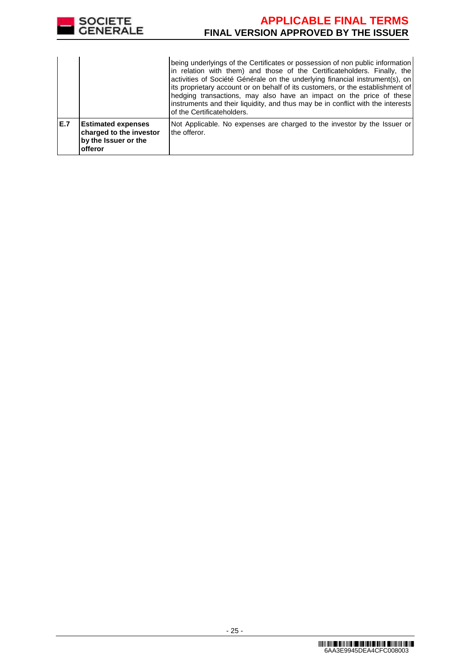

|     |                                                                                         | being underlyings of the Certificates or possession of non public information<br>in relation with them) and those of the Certificateholders. Finally, the<br>activities of Société Générale on the underlying financial instrument(s), on<br>lits proprietary account or on behalf of its customers, or the establishment of<br>hedging transactions, may also have an impact on the price of these<br>instruments and their liquidity, and thus may be in conflict with the interests<br>of the Certificateholders. |
|-----|-----------------------------------------------------------------------------------------|----------------------------------------------------------------------------------------------------------------------------------------------------------------------------------------------------------------------------------------------------------------------------------------------------------------------------------------------------------------------------------------------------------------------------------------------------------------------------------------------------------------------|
| E.7 | <b>Estimated expenses</b><br>charged to the investor<br>by the Issuer or the<br>offeror | Not Applicable. No expenses are charged to the investor by the Issuer or<br>the offeror.                                                                                                                                                                                                                                                                                                                                                                                                                             |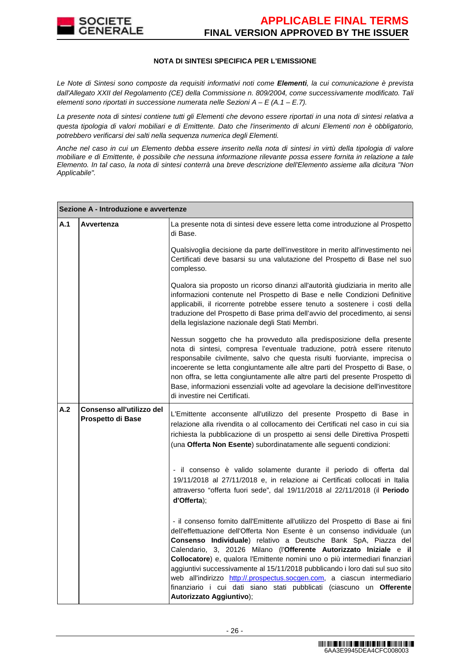

### **NOTA DI SINTESI SPECIFICA PER L'EMISSIONE**

Le Note di Sintesi sono composte da requisiti informativi noti come **Elementi**, la cui comunicazione è prevista dall'Allegato XXII del Regolamento (CE) della Commissione n. 809/2004, come successivamente modificato. Tali elementi sono riportati in successione numerata nelle Sezioni  $A - E(A.1 - E.7)$ .

La presente nota di sintesi contiene tutti gli Elementi che devono essere riportati in una nota di sintesi relativa a questa tipologia di valori mobiliari e di Emittente. Dato che l'inserimento di alcuni Elementi non è obbligatorio, potrebbero verificarsi dei salti nella sequenza numerica degli Elementi.

Anche nel caso in cui un Elemento debba essere inserito nella nota di sintesi in virtù della tipologia di valore mobiliare e di Emittente, è possibile che nessuna informazione rilevante possa essere fornita in relazione a tale Elemento. In tal caso, la nota di sintesi conterrà una breve descrizione dell'Elemento assieme alla dicitura "Non Applicabile".

|     | Sezione A - Introduzione e avvertenze          |                                                                                                                                                                                                                                                                                                                                                                                                                                                                                                                                                                                                                                                                     |  |  |
|-----|------------------------------------------------|---------------------------------------------------------------------------------------------------------------------------------------------------------------------------------------------------------------------------------------------------------------------------------------------------------------------------------------------------------------------------------------------------------------------------------------------------------------------------------------------------------------------------------------------------------------------------------------------------------------------------------------------------------------------|--|--|
| A.1 | Avvertenza                                     | La presente nota di sintesi deve essere letta come introduzione al Prospetto<br>di Base.                                                                                                                                                                                                                                                                                                                                                                                                                                                                                                                                                                            |  |  |
|     |                                                | Qualsivoglia decisione da parte dell'investitore in merito all'investimento nei<br>Certificati deve basarsi su una valutazione del Prospetto di Base nel suo<br>complesso.                                                                                                                                                                                                                                                                                                                                                                                                                                                                                          |  |  |
|     |                                                | Qualora sia proposto un ricorso dinanzi all'autorità giudiziaria in merito alle<br>informazioni contenute nel Prospetto di Base e nelle Condizioni Definitive<br>applicabili, il ricorrente potrebbe essere tenuto a sostenere i costi della<br>traduzione del Prospetto di Base prima dell'avvio del procedimento, ai sensi<br>della legislazione nazionale degli Stati Membri.                                                                                                                                                                                                                                                                                    |  |  |
|     |                                                | Nessun soggetto che ha provveduto alla predisposizione della presente<br>nota di sintesi, compresa l'eventuale traduzione, potrà essere ritenuto<br>responsabile civilmente, salvo che questa risulti fuorviante, imprecisa o<br>incoerente se letta congiuntamente alle altre parti del Prospetto di Base, o<br>non offra, se letta congiuntamente alle altre parti del presente Prospetto di<br>Base, informazioni essenziali volte ad agevolare la decisione dell'investitore<br>di investire nei Certificati.                                                                                                                                                   |  |  |
| A.2 | Consenso all'utilizzo del<br>Prospetto di Base | L'Emittente acconsente all'utilizzo del presente Prospetto di Base in<br>relazione alla rivendita o al collocamento dei Certificati nel caso in cui sia<br>richiesta la pubblicazione di un prospetto ai sensi delle Direttiva Prospetti<br>(una Offerta Non Esente) subordinatamente alle seguenti condizioni:                                                                                                                                                                                                                                                                                                                                                     |  |  |
|     |                                                | - il consenso è valido solamente durante il periodo di offerta dal<br>19/11/2018 al 27/11/2018 e, in relazione ai Certificati collocati in Italia<br>attraverso "offerta fuori sede", dal 19/11/2018 al 22/11/2018 (il Periodo<br>d'Offerta);                                                                                                                                                                                                                                                                                                                                                                                                                       |  |  |
|     |                                                | - il consenso fornito dall'Emittente all'utilizzo del Prospetto di Base ai fini<br>dell'effettuazione dell'Offerta Non Esente è un consenso individuale (un<br><b>Consenso Individuale</b> ) relativo a Deutsche Bank SpA, Piazza del<br>Calendario, 3, 20126 Milano (l'Offerente Autorizzato Iniziale e il<br>Collocatore) e, qualora l'Emittente nomini uno o più intermediari finanziari<br>aggiuntivi successivamente al 15/11/2018 pubblicando i loro dati sul suo sito<br>web all'indirizzo http://.prospectus.socgen.com, a ciascun intermediario<br>finanziario i cui dati siano stati pubblicati (ciascuno un <b>Offerente</b><br>Autorizzato Aggiuntivo); |  |  |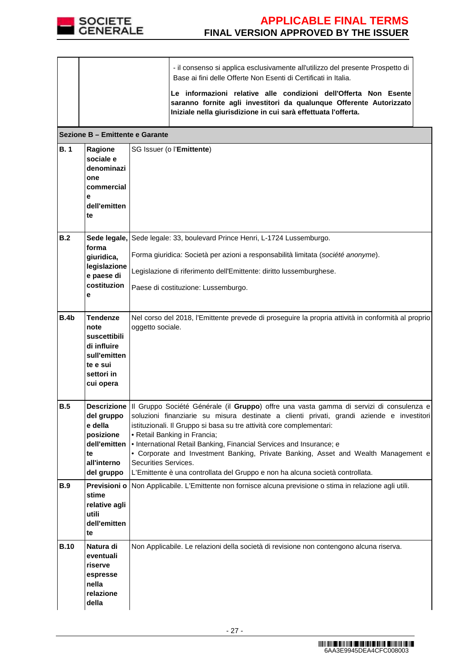

|             | Sezione B - Emittente e Garante                                                                               | - il consenso si applica esclusivamente all'utilizzo del presente Prospetto di<br>Base ai fini delle Offerte Non Esenti di Certificati in Italia.<br>Le informazioni relative alle condizioni dell'Offerta Non Esente<br>saranno fornite agli investitori da qualunque Offerente Autorizzato<br>Iniziale nella giurisdizione in cui sarà effettuata l'offerta.                                                                                                                                                                                                                  |
|-------------|---------------------------------------------------------------------------------------------------------------|---------------------------------------------------------------------------------------------------------------------------------------------------------------------------------------------------------------------------------------------------------------------------------------------------------------------------------------------------------------------------------------------------------------------------------------------------------------------------------------------------------------------------------------------------------------------------------|
| <b>B.1</b>  | Ragione<br>sociale e<br>denominazi<br>one<br>commercial<br>е<br>dell'emitten<br>te                            | SG Issuer (o l'Emittente)                                                                                                                                                                                                                                                                                                                                                                                                                                                                                                                                                       |
| B.2         | forma<br>giuridica,<br>legislazione<br>e paese di<br>costituzion<br>е                                         | Sede legale, Sede legale: 33, boulevard Prince Henri, L-1724 Lussemburgo.<br>Forma giuridica: Società per azioni a responsabilità limitata (société anonyme).<br>Legislazione di riferimento dell'Emittente: diritto lussemburghese.<br>Paese di costituzione: Lussemburgo.                                                                                                                                                                                                                                                                                                     |
| B.4b        | <b>Tendenze</b><br>note<br>suscettibili<br>di influire<br>sull'emitten<br>te e sui<br>settori in<br>cui opera | Nel corso del 2018, l'Emittente prevede di proseguire la propria attività in conformità al proprio<br>oggetto sociale.                                                                                                                                                                                                                                                                                                                                                                                                                                                          |
| <b>B.5</b>  | del gruppo<br>e della<br>posizione<br>dell'emitten<br>te<br>all'interno<br>del gruppo                         | Descrizione III Gruppo Société Générale (il Gruppo) offre una vasta gamma di servizi di consulenza e<br>soluzioni finanziarie su misura destinate a clienti privati, grandi aziende e investitori<br>istituzionali. Il Gruppo si basa su tre attività core complementari:<br>• Retail Banking in Francia;<br>• International Retail Banking, Financial Services and Insurance; e<br>• Corporate and Investment Banking, Private Banking, Asset and Wealth Management e<br>Securities Services.<br>L'Emittente è una controllata del Gruppo e non ha alcuna società controllata. |
| <b>B.9</b>  | <b>Previsioni o</b><br>stime<br>relative agli<br>utili<br>dell'emitten<br>te                                  | Non Applicabile. L'Emittente non fornisce alcuna previsione o stima in relazione agli utili.                                                                                                                                                                                                                                                                                                                                                                                                                                                                                    |
| <b>B.10</b> | Natura di<br>eventuali<br>riserve<br>espresse<br>nella<br>relazione<br>della                                  | Non Applicabile. Le relazioni della società di revisione non contengono alcuna riserva.                                                                                                                                                                                                                                                                                                                                                                                                                                                                                         |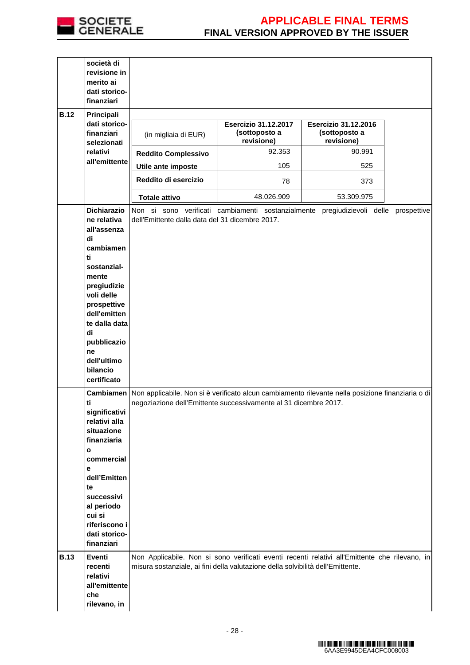

| società di<br>revisione in<br>merito ai<br>dati storico-<br>finanziari                                                                                                                                                                                                                   |                                                                                                             |                                                                                                                                                                                                                                                       |                                                            |             |
|------------------------------------------------------------------------------------------------------------------------------------------------------------------------------------------------------------------------------------------------------------------------------------------|-------------------------------------------------------------------------------------------------------------|-------------------------------------------------------------------------------------------------------------------------------------------------------------------------------------------------------------------------------------------------------|------------------------------------------------------------|-------------|
| <b>B.12</b><br>Principali<br>dati storico-<br>finanziari<br>selezionati                                                                                                                                                                                                                  | (in migliaia di EUR)                                                                                        | <b>Esercizio 31.12.2017</b><br>(sottoposto a<br>revisione)                                                                                                                                                                                            | <b>Esercizio 31.12.2016</b><br>(sottoposto a<br>revisione) |             |
| relativi                                                                                                                                                                                                                                                                                 | <b>Reddito Complessivo</b>                                                                                  | 92.353                                                                                                                                                                                                                                                | 90.991                                                     |             |
| all'emittente                                                                                                                                                                                                                                                                            | Utile ante imposte                                                                                          | 105                                                                                                                                                                                                                                                   | 525                                                        |             |
|                                                                                                                                                                                                                                                                                          | Reddito di esercizio                                                                                        | 78                                                                                                                                                                                                                                                    | 373                                                        |             |
|                                                                                                                                                                                                                                                                                          | <b>Totale attivo</b>                                                                                        | 48.026.909                                                                                                                                                                                                                                            | 53.309.975                                                 |             |
| <b>Dichiarazio</b><br>ne relativa<br>all'assenza<br>di                                                                                                                                                                                                                                   | dell'Emittente dalla data del 31 dicembre 2017.                                                             | Non si sono verificati cambiamenti sostanzialmente                                                                                                                                                                                                    | pregiudizievoli delle                                      | prospettive |
| cambiamen<br>ti<br>sostanzial-<br>mente<br>pregiudizie<br>voli delle<br>prospettive<br>dell'emitten<br>te dalla data<br>di<br>pubblicazio<br>ne<br>dell'ultimo<br>bilancio<br>certificato                                                                                                |                                                                                                             |                                                                                                                                                                                                                                                       |                                                            |             |
| ti<br>significativi<br>relativi alla<br>situazione<br>finanziaria<br>$\mathbf{o}$<br>commercial<br>e<br>dell'Emitten<br>te<br>successivi<br>al periodo<br>cui si<br>riferiscono i<br>dati storico-<br>finanziari<br><b>B.13</b><br>Eventi<br>recenti<br>relativi<br>all'emittente<br>che | Cambiamen Non applicabile. Non si è verificato alcun cambiamento rilevante nella posizione finanziaria o di | negoziazione dell'Emittente successivamente al 31 dicembre 2017.<br>Non Applicabile. Non si sono verificati eventi recenti relativi all'Emittente che rilevano, in<br>misura sostanziale, ai fini della valutazione della solvibilità dell'Emittente. |                                                            |             |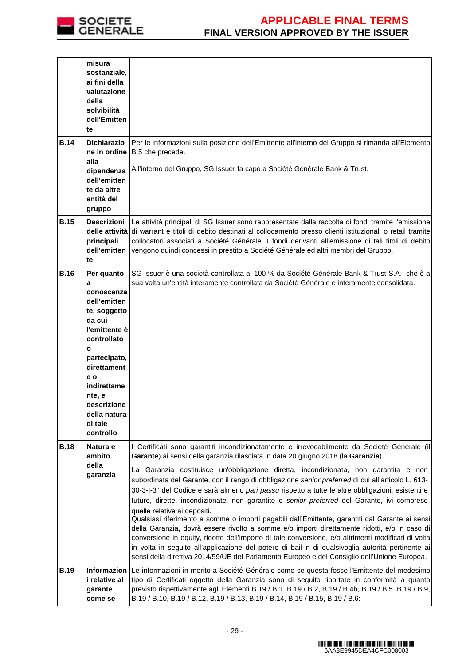

|             | misura<br>sostanziale,<br>ai fini della<br>valutazione<br>della<br>solvibilità<br>dell'Emitten<br>te                                                                                                                               |                                                                                                                                                                                                                                                                                                                                                                                                                                                                                                                                                                                                                                                                                                                                                                                                                                                                                                                                                                                                                                                                                                                                    |
|-------------|------------------------------------------------------------------------------------------------------------------------------------------------------------------------------------------------------------------------------------|------------------------------------------------------------------------------------------------------------------------------------------------------------------------------------------------------------------------------------------------------------------------------------------------------------------------------------------------------------------------------------------------------------------------------------------------------------------------------------------------------------------------------------------------------------------------------------------------------------------------------------------------------------------------------------------------------------------------------------------------------------------------------------------------------------------------------------------------------------------------------------------------------------------------------------------------------------------------------------------------------------------------------------------------------------------------------------------------------------------------------------|
| <b>B.14</b> | <b>Dichiarazio</b><br>ne in ordine<br>alla<br>dipendenza<br>dell'emitten<br>te da altre<br>entità del<br>gruppo                                                                                                                    | Per le informazioni sulla posizione dell'Emittente all'interno del Gruppo si rimanda all'Elemento<br>B.5 che precede.<br>All'interno del Gruppo, SG Issuer fa capo a Société Générale Bank & Trust.                                                                                                                                                                                                                                                                                                                                                                                                                                                                                                                                                                                                                                                                                                                                                                                                                                                                                                                                |
| <b>B.15</b> | <b>Descrizioni</b><br>principali<br>dell'emitten<br>te                                                                                                                                                                             | Le attività principali di SG Issuer sono rappresentate dalla raccolta di fondi tramite l'emissione<br>delle attività di warrant e titoli di debito destinati al collocamento presso clienti istituzionali o retail tramite<br>collocatori associati a Société Générale. I fondi derivanti all'emissione di tali titoli di debito<br>vengono quindi concessi in prestito a Société Générale ed altri membri del Gruppo.                                                                                                                                                                                                                                                                                                                                                                                                                                                                                                                                                                                                                                                                                                             |
| <b>B.16</b> | Per quanto<br>a<br>conoscenza<br>dell'emitten<br>te, soggetto<br>da cui<br>l'emittente è<br>controllato<br>o<br>partecipato,<br>direttament<br>e o<br>indirettame<br>nte, e<br>descrizione<br>della natura<br>di tale<br>controllo | SG Issuer è una società controllata al 100 % da Société Générale Bank & Trust S.A., che è a<br>sua volta un'entità interamente controllata da Société Générale e interamente consolidata.                                                                                                                                                                                                                                                                                                                                                                                                                                                                                                                                                                                                                                                                                                                                                                                                                                                                                                                                          |
| <b>B.18</b> | Natura e<br>ambito<br>della<br>garanzia                                                                                                                                                                                            | I Certificati sono garantiti incondizionatamente e irrevocabilmente da Société Générale (il<br>Garante) ai sensi della garanzia rilasciata in data 20 giugno 2018 (la Garanzia).<br>La Garanzia costituisce un'obbligazione diretta, incondizionata, non garantita e non<br>subordinata del Garante, con il rango di obbligazione senior preferred di cui all'articolo L. 613-<br>30-3-l-3° del Codice e sarà almeno pari passu rispetto a tutte le altre obbligazioni, esistenti e<br>future, dirette, incondizionate, non garantite e senior preferred del Garante, ivi comprese<br>quelle relative ai depositi.<br>Qualsiasi riferimento a somme o importi pagabili dall'Emittente, garantiti dal Garante ai sensi<br>della Garanzia, dovrà essere rivolto a somme e/o importi direttamente ridotti, e/o in caso di<br>conversione in equity, ridotte dell'importo di tale conversione, e/o altrimenti modificati di volta<br>in volta in seguito all'applicazione del potere di bail-in di qualsivoglia autorità pertinente ai<br>sensi della direttiva 2014/59/UE del Parlamento Europeo e del Consiglio dell'Unione Europea. |
| <b>B.19</b> | i relative al<br>garante<br>come se                                                                                                                                                                                                | Informazion Le informazioni in merito a Société Générale come se questa fosse l'Emittente del medesimo<br>tipo di Certificati oggetto della Garanzia sono di seguito riportate in conformità a quanto<br>previsto rispettivamente agli Elementi B.19 / B.1, B.19 / B.2, B.19 / B.4b, B.19 / B.5, B.19 / B.9,<br>B.19 / B.10, B.19 / B.12, B.19 / B.13, B.19 / B.14, B.19 / B.15, B.19 / B.6:                                                                                                                                                                                                                                                                                                                                                                                                                                                                                                                                                                                                                                                                                                                                       |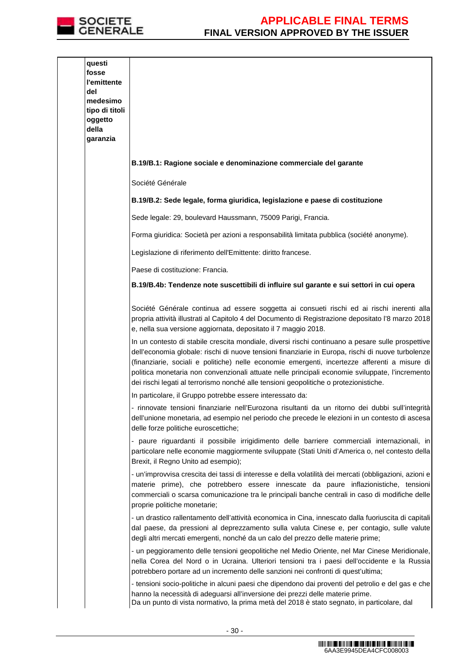

| questi<br>fosse<br>l'emittente<br>del<br>medesimo<br>tipo di titoli<br>oggetto<br>della<br>garanzia |                                                                                                                                                                                                                                                                                                                                                                                                                                                                                                     |
|-----------------------------------------------------------------------------------------------------|-----------------------------------------------------------------------------------------------------------------------------------------------------------------------------------------------------------------------------------------------------------------------------------------------------------------------------------------------------------------------------------------------------------------------------------------------------------------------------------------------------|
|                                                                                                     | B.19/B.1: Ragione sociale e denominazione commerciale del garante                                                                                                                                                                                                                                                                                                                                                                                                                                   |
|                                                                                                     | Société Générale                                                                                                                                                                                                                                                                                                                                                                                                                                                                                    |
|                                                                                                     | B.19/B.2: Sede legale, forma giuridica, legislazione e paese di costituzione                                                                                                                                                                                                                                                                                                                                                                                                                        |
|                                                                                                     | Sede legale: 29, boulevard Haussmann, 75009 Parigi, Francia.                                                                                                                                                                                                                                                                                                                                                                                                                                        |
|                                                                                                     | Forma giuridica: Società per azioni a responsabilità limitata pubblica (société anonyme).                                                                                                                                                                                                                                                                                                                                                                                                           |
|                                                                                                     | Legislazione di riferimento dell'Emittente: diritto francese.                                                                                                                                                                                                                                                                                                                                                                                                                                       |
|                                                                                                     | Paese di costituzione: Francia.                                                                                                                                                                                                                                                                                                                                                                                                                                                                     |
|                                                                                                     | B.19/B.4b: Tendenze note suscettibili di influire sul garante e sui settori in cui opera                                                                                                                                                                                                                                                                                                                                                                                                            |
|                                                                                                     | Société Générale continua ad essere soggetta ai consueti rischi ed ai rischi inerenti alla<br>propria attività illustrati al Capitolo 4 del Documento di Registrazione depositato l'8 marzo 2018<br>e, nella sua versione aggiornata, depositato il 7 maggio 2018.                                                                                                                                                                                                                                  |
|                                                                                                     | In un contesto di stabile crescita mondiale, diversi rischi continuano a pesare sulle prospettive<br>dell'economia globale: rischi di nuove tensioni finanziarie in Europa, rischi di nuove turbolenze<br>(finanziarie, sociali e politiche) nelle economie emergenti, incertezze afferenti a misure di<br>politica monetaria non convenzionali attuate nelle principali economie sviluppate, l'incremento<br>dei rischi legati al terrorismo nonché alle tensioni geopolitiche o protezionistiche. |
|                                                                                                     | In particolare, il Gruppo potrebbe essere interessato da:                                                                                                                                                                                                                                                                                                                                                                                                                                           |
|                                                                                                     | - rinnovate tensioni finanziarie nell'Eurozona risultanti da un ritorno dei dubbi sull'integrità<br>dell'unione monetaria, ad esempio nel periodo che precede le elezioni in un contesto di ascesa<br>delle forze politiche euroscettiche;                                                                                                                                                                                                                                                          |
|                                                                                                     | - paure riguardanti il possibile irrigidimento delle barriere commerciali internazionali, in<br>particolare nelle economie maggiormente sviluppate (Stati Uniti d'America o, nel contesto della<br>Brexit, il Regno Unito ad esempio);                                                                                                                                                                                                                                                              |
|                                                                                                     | - un'improvvisa crescita dei tassi di interesse e della volatilità dei mercati (obbligazioni, azioni e<br>materie prime), che potrebbero essere innescate da paure inflazionistiche, tensioni<br>commerciali o scarsa comunicazione tra le principali banche centrali in caso di modifiche delle<br>proprie politiche monetarie;                                                                                                                                                                    |
|                                                                                                     | - un drastico rallentamento dell'attività economica in Cina, innescato dalla fuoriuscita di capitali<br>dal paese, da pressioni al deprezzamento sulla valuta Cinese e, per contagio, sulle valute<br>degli altri mercati emergenti, nonché da un calo del prezzo delle materie prime;                                                                                                                                                                                                              |
|                                                                                                     | - un peggioramento delle tensioni geopolitiche nel Medio Oriente, nel Mar Cinese Meridionale,<br>nella Corea del Nord o in Ucraina. Ulteriori tensioni tra i paesi dell'occidente e la Russia<br>potrebbero portare ad un incremento delle sanzioni nei confronti di quest'ultima;                                                                                                                                                                                                                  |
|                                                                                                     | - tensioni socio-politiche in alcuni paesi che dipendono dai proventi del petrolio e del gas e che<br>hanno la necessità di adeguarsi all'inversione dei prezzi delle materie prime.<br>Da un punto di vista normativo, la prima metà del 2018 è stato segnato, in particolare, dal                                                                                                                                                                                                                 |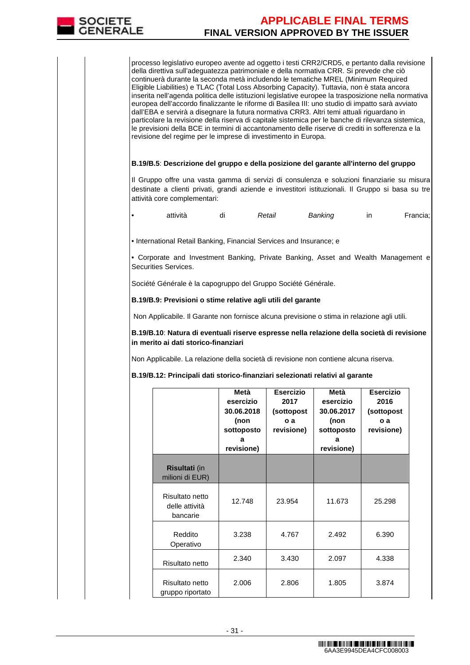

processo legislativo europeo avente ad oggetto i testi CRR2/CRD5, e pertanto dalla revisione della direttiva sull'adeguatezza patrimoniale e della normativa CRR. Si prevede che ciò continuerà durante la seconda metà includendo le tematiche MREL (Minimum Required Eligible Liabilities) e TLAC (Total Loss Absorbing Capacity). Tuttavia, non è stata ancora inserita nell'agenda politica delle istituzioni legislative europee la trasposizione nella normativa europea dell'accordo finalizzante le riforme di Basilea III: uno studio di impatto sarà avviato dall'EBA e servirà a disegnare la futura normativa CRR3. Altri temi attuali riguardano in particolare la revisione della riserva di capitale sistemica per le banche di rilevanza sistemica, le previsioni della BCE in termini di accantonamento delle riserve di crediti in sofferenza e la revisione del regime per le imprese di investimento in Europa.

### **B.19/B.5**: **Descrizione del gruppo e della posizione del garante all'interno del gruppo**

Il Gruppo offre una vasta gamma di servizi di consulenza e soluzioni finanziarie su misura destinate a clienti privati, grandi aziende e investitori istituzionali. Il Gruppo si basa su tre attività core complementari:

| Retail<br>attività<br>Banking<br>Francia; |
|-------------------------------------------|
|-------------------------------------------|

• International Retail Banking, Financial Services and Insurance; e

• Corporate and Investment Banking, Private Banking, Asset and Wealth Management e Securities Services.

Société Générale è la capogruppo del Gruppo Société Générale.

**B.19/B.9: Previsioni o stime relative agli utili del garante** 

Non Applicabile. Il Garante non fornisce alcuna previsione o stima in relazione agli utili.

**B.19/B.10**: **Natura di eventuali riserve espresse nella relazione della società di revisione in merito ai dati storico-finanziari**

Non Applicabile. La relazione della società di revisione non contiene alcuna riserva.

**B.19/B.12: Principali dati storico-finanziari selezionati relativi al garante** 

|                                               | Metà<br>esercizio<br>30.06.2018<br>(non<br>sottoposto<br>a<br>revisione) | <b>Esercizio</b><br>2017<br>(sottopost<br>0a<br>revisione) | Metà<br>esercizio<br>30.06.2017<br>(non<br>sottoposto<br>a<br>revisione) | <b>Esercizio</b><br>2016<br>(sottopost)<br>o a<br>revisione) |
|-----------------------------------------------|--------------------------------------------------------------------------|------------------------------------------------------------|--------------------------------------------------------------------------|--------------------------------------------------------------|
| <b>Risultati</b> (in<br>milioni di EUR)       |                                                                          |                                                            |                                                                          |                                                              |
| Risultato netto<br>delle attività<br>bancarie | 12.748                                                                   | 23.954                                                     | 11.673                                                                   | 25.298                                                       |
| Reddito<br>Operativo                          | 3.238                                                                    | 4.767                                                      | 2.492                                                                    | 6.390                                                        |
| Risultato netto                               | 2.340                                                                    | 3.430                                                      | 2.097                                                                    | 4.338                                                        |
| Risultato netto<br>gruppo riportato           | 2.006                                                                    | 2.806                                                      | 1.805                                                                    | 3.874                                                        |

6AA3E9945DEA4CFC008003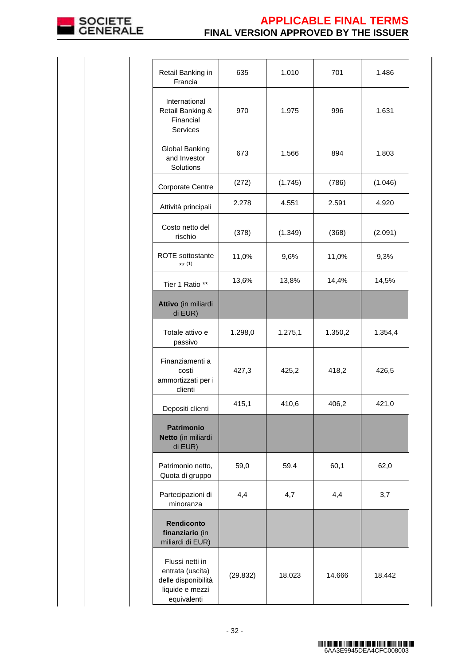

| Retail Banking in<br>Francia                                                                 | 635      | 1.010   | 701     | 1.486   |
|----------------------------------------------------------------------------------------------|----------|---------|---------|---------|
| International<br>Retail Banking &<br>Financial<br>Services                                   | 970      | 1.975   | 996     | 1.631   |
| Global Banking<br>and Investor<br>Solutions                                                  | 673      | 1.566   | 894     | 1.803   |
| <b>Corporate Centre</b>                                                                      | (272)    | (1.745) | (786)   | (1.046) |
| Attività principali                                                                          | 2.278    | 4.551   | 2.591   | 4.920   |
| Costo netto del<br>rischio                                                                   | (378)    | (1.349) | (368)   | (2.091) |
| <b>ROTE</b> sottostante<br>** $(1)$                                                          | 11,0%    | 9,6%    | 11,0%   | 9,3%    |
| Tier 1 Ratio **                                                                              | 13,6%    | 13,8%   | 14,4%   | 14,5%   |
| Attivo (in miliardi<br>di EUR)                                                               |          |         |         |         |
| Totale attivo e<br>passivo                                                                   | 1.298,0  | 1.275,1 | 1.350,2 | 1.354,4 |
| Finanziamenti a<br>costi<br>ammortizzati per i<br>clienti                                    | 427,3    | 425,2   | 418,2   | 426,5   |
| Depositi clienti                                                                             | 415,1    | 410,6   | 406,2   | 421,0   |
| <b>Patrimonio</b><br>Netto (in miliardi<br>di EUR)                                           |          |         |         |         |
| Patrimonio netto,<br>Quota di gruppo                                                         | 59,0     | 59,4    | 60,1    | 62,0    |
| Partecipazioni di<br>minoranza                                                               | 4,4      | 4,7     | 4,4     | 3,7     |
| <b>Rendiconto</b><br>finanziario (in<br>miliardi di EUR)                                     |          |         |         |         |
| Flussi netti in<br>entrata (uscita)<br>delle disponibilità<br>liquide e mezzi<br>equivalenti | (29.832) | 18.023  | 14.666  | 18.442  |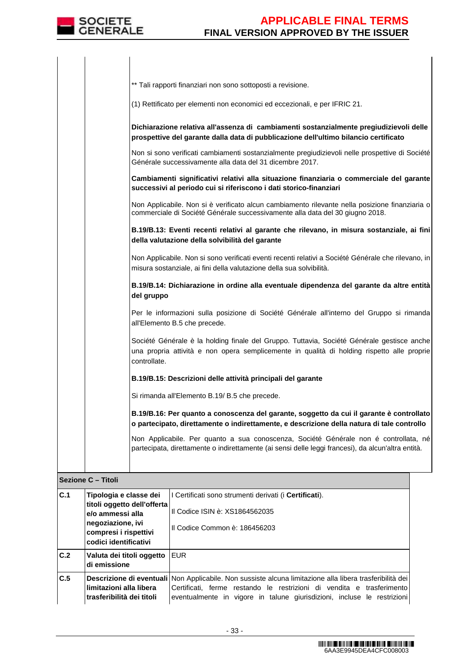|     | ** Tali rapporti finanziari non sono sottoposti a revisione.                                                                                                                                             |
|-----|----------------------------------------------------------------------------------------------------------------------------------------------------------------------------------------------------------|
|     | (1) Rettificato per elementi non economici ed eccezionali, e per IFRIC 21.                                                                                                                               |
|     | Dichiarazione relativa all'assenza di cambiamenti sostanzialmente pregiudizievoli delle<br>prospettive del garante dalla data di pubblicazione dell'ultimo bilancio certificato                          |
|     | Non si sono verificati cambiamenti sostanzialmente pregiudizievoli nelle prospettive di Société<br>Générale successivamente alla data del 31 dicembre 2017.                                              |
|     | Cambiamenti significativi relativi alla situazione finanziaria o commerciale del garante<br>successivi al periodo cui si riferiscono i dati storico-finanziari                                           |
|     | Non Applicabile. Non si è verificato alcun cambiamento rilevante nella posizione finanziaria o<br>commerciale di Société Générale successivamente alla data del 30 giugno 2018.                          |
|     | B.19/B.13: Eventi recenti relativi al garante che rilevano, in misura sostanziale, ai fini<br>della valutazione della solvibilità del garante                                                            |
|     | Non Applicabile. Non si sono verificati eventi recenti relativi a Société Générale che rilevano, in<br>misura sostanziale, ai fini della valutazione della sua solvibilità.                              |
|     | B.19/B.14: Dichiarazione in ordine alla eventuale dipendenza del garante da altre entità<br>del gruppo                                                                                                   |
|     | Per le informazioni sulla posizione di Société Générale all'interno del Gruppo si rimanda<br>all'Elemento B.5 che precede.                                                                               |
|     | Société Générale è la holding finale del Gruppo. Tuttavia, Société Générale gestisce anche<br>una propria attività e non opera semplicemente in qualità di holding rispetto alle proprie<br>controllate. |
|     | B.19/B.15: Descrizioni delle attività principali del garante                                                                                                                                             |
|     | Si rimanda all'Elemento B.19/ B.5 che precede.                                                                                                                                                           |
|     | B.19/B.16: Per quanto a conoscenza del garante, soggetto da cui il garante è controllato<br>o partecipato, direttamente o indirettamente, e descrizione della natura di tale controllo                   |
|     | Non Applicabile. Per quanto a sua conoscenza, Société Générale non é controllata, né<br>partecipata, direttamente o indirettamente (ai sensi delle leggi francesi), da alcun'altra entità.               |
|     | Sezione C - Titoli                                                                                                                                                                                       |
| C.1 | Tipologia e classe dei<br>II Certificati sono strumenti derivati (i Certificati).                                                                                                                        |

| $\overline{c.1}$ | Tipologia e classe dei<br>titoli oggetto dell'offerta | I Certificati sono strumenti derivati (i Certificati).                                                                                                                                                                                                       |
|------------------|-------------------------------------------------------|--------------------------------------------------------------------------------------------------------------------------------------------------------------------------------------------------------------------------------------------------------------|
|                  | e/o ammessi alla<br>negoziazione, ivi                 | II Codice ISIN è: XS1864562035                                                                                                                                                                                                                               |
|                  | II Codice Common è: 186456203                         |                                                                                                                                                                                                                                                              |
|                  | codici identificativi                                 |                                                                                                                                                                                                                                                              |
| C.2              | Valuta dei titoli oggetto<br>di emissione             | EUR                                                                                                                                                                                                                                                          |
| C.5              | limitazioni alla libera<br>trasferibilità dei titoli  | Descrizione di eventuali Non Applicabile. Non sussiste alcuna limitazione alla libera trasferibilità dei<br>Certificati, ferme restando le restrizioni di vendita e trasferimento<br>eventualmente in vigore in talune giurisdizioni, incluse le restrizioni |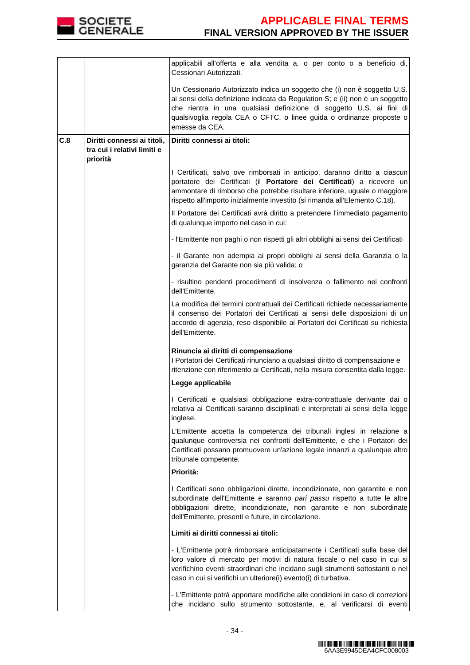

|     |                                         | applicabili all'offerta e alla vendita a, o per conto o a beneficio di,<br>Cessionari Autorizzati.                                                                                                                                                                                                                           |  |  |
|-----|-----------------------------------------|------------------------------------------------------------------------------------------------------------------------------------------------------------------------------------------------------------------------------------------------------------------------------------------------------------------------------|--|--|
|     |                                         | Un Cessionario Autorizzato indica un soggetto che (i) non è soggetto U.S.<br>ai sensi della definizione indicata da Regulation S; e (ii) non è un soggetto<br>che rientra in una qualsiasi definizione di soggetto U.S. ai fini di<br>qualsivoglia regola CEA o CFTC, o linee guida o ordinanze proposte o<br>emesse da CEA. |  |  |
| C.8 | Diritti connessi ai titoli,             | Diritti connessi ai titoli:                                                                                                                                                                                                                                                                                                  |  |  |
|     | tra cui i relativi limiti e<br>priorità |                                                                                                                                                                                                                                                                                                                              |  |  |
|     |                                         | I Certificati, salvo ove rimborsati in anticipo, daranno diritto a ciascun<br>portatore dei Certificati (il Portatore dei Certificati) a ricevere un<br>ammontare di rimborso che potrebbe risultare inferiore, uguale o maggiore<br>rispetto all'importo inizialmente investito (si rimanda all'Elemento C.18).             |  |  |
|     |                                         | Il Portatore dei Certificati avrà diritto a pretendere l'immediato pagamento<br>di qualunque importo nel caso in cui:                                                                                                                                                                                                        |  |  |
|     |                                         | - l'Emittente non paghi o non rispetti gli altri obblighi ai sensi dei Certificati                                                                                                                                                                                                                                           |  |  |
|     |                                         | - il Garante non adempia ai propri obblighi ai sensi della Garanzia o la<br>garanzia del Garante non sia più valida; o                                                                                                                                                                                                       |  |  |
|     |                                         | - risultino pendenti procedimenti di insolvenza o fallimento nei confronti<br>dell'Emittente.                                                                                                                                                                                                                                |  |  |
|     |                                         | La modifica dei termini contrattuali dei Certificati richiede necessariamente<br>il consenso dei Portatori dei Certificati ai sensi delle disposizioni di un<br>accordo di agenzia, reso disponibile ai Portatori dei Certificati su richiesta<br>dell'Emittente.                                                            |  |  |
|     |                                         | Rinuncia ai diritti di compensazione                                                                                                                                                                                                                                                                                         |  |  |
|     |                                         | I Portatori dei Certificati rinunciano a qualsiasi diritto di compensazione e<br>ritenzione con riferimento ai Certificati, nella misura consentita dalla legge.                                                                                                                                                             |  |  |
|     |                                         | Legge applicabile                                                                                                                                                                                                                                                                                                            |  |  |
|     |                                         | I Certificati e qualsiasi obbligazione extra-contrattuale derivante dai o<br>relativa ai Certificati saranno disciplinati e interpretati ai sensi della legge<br>inglese.                                                                                                                                                    |  |  |
|     |                                         | L'Emittente accetta la competenza dei tribunali inglesi in relazione a<br>qualunque controversia nei confronti dell'Emittente, e che i Portatori dei<br>Certificati possano promuovere un'azione legale innanzi a qualunque altro<br>tribunale competente.                                                                   |  |  |
|     |                                         | Priorità:                                                                                                                                                                                                                                                                                                                    |  |  |
|     |                                         | I Certificati sono obbligazioni dirette, incondizionate, non garantite e non<br>subordinate dell'Emittente e saranno pari passu rispetto a tutte le altre<br>obbligazioni dirette, incondizionate, non garantite e non subordinate<br>dell'Emittente, presenti e future, in circolazione.                                    |  |  |
|     |                                         | Limiti ai diritti connessi ai titoli:                                                                                                                                                                                                                                                                                        |  |  |
|     |                                         | - L'Emittente potrà rimborsare anticipatamente i Certificati sulla base del<br>loro valore di mercato per motivi di natura fiscale o nel caso in cui si<br>verifichino eventi straordinari che incidano sugli strumenti sottostanti o nel<br>caso in cui si verifichi un ulteriore(i) evento(i) di turbativa.                |  |  |
|     |                                         | - L'Emittente potrà apportare modifiche alle condizioni in caso di correzioni<br>che incidano sullo strumento sottostante, e, al verificarsi di eventi                                                                                                                                                                       |  |  |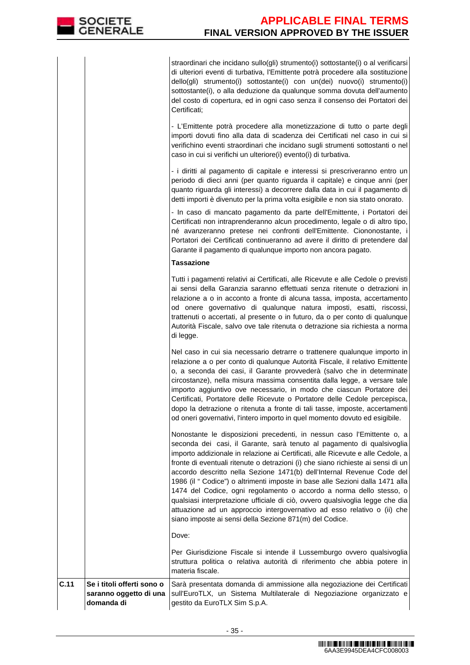straordinari che incidano sullo(gli) strumento(i) sottostante(i) o al verificarsi di ulteriori eventi di turbativa, l'Emittente potrà procedere alla sostituzione dello(gli) strumento(i) sottostante(i) con un(dei) nuovo(i) strumento(i) sottostante(i), o alla deduzione da qualunque somma dovuta dell'aumento del costo di copertura, ed in ogni caso senza il consenso dei Portatori dei Certificati;

- L'Emittente potrà procedere alla monetizzazione di tutto o parte degli importi dovuti fino alla data di scadenza dei Certificati nel caso in cui si verifichino eventi straordinari che incidano sugli strumenti sottostanti o nel caso in cui si verifichi un ulteriore(i) evento(i) di turbativa.

- i diritti al pagamento di capitale e interessi si prescriveranno entro un periodo di dieci anni (per quanto riguarda il capitale) e cinque anni (per quanto riguarda gli interessi) a decorrere dalla data in cui il pagamento di detti importi è divenuto per la prima volta esigibile e non sia stato onorato.

 - In caso di mancato pagamento da parte dell'Emittente, i Portatori dei Certificati non intraprenderanno alcun procedimento, legale o di altro tipo, né avanzeranno pretese nei confronti dell'Emittente. Ciononostante, i Portatori dei Certificati continueranno ad avere il diritto di pretendere dal Garante il pagamento di qualunque importo non ancora pagato.

## **Tassazione**

Tutti i pagamenti relativi ai Certificati, alle Ricevute e alle Cedole o previsti ai sensi della Garanzia saranno effettuati senza ritenute o detrazioni in relazione a o in acconto a fronte di alcuna tassa, imposta, accertamento od onere governativo di qualunque natura imposti, esatti, riscossi, trattenuti o accertati, al presente o in futuro, da o per conto di qualunque Autorità Fiscale, salvo ove tale ritenuta o detrazione sia richiesta a norma di legge.

Nel caso in cui sia necessario detrarre o trattenere qualunque importo in relazione a o per conto di qualunque Autorità Fiscale, il relativo Emittente o, a seconda dei casi, il Garante provvederà (salvo che in determinate circostanze), nella misura massima consentita dalla legge, a versare tale importo aggiuntivo ove necessario, in modo che ciascun Portatore dei Certificati, Portatore delle Ricevute o Portatore delle Cedole percepisca, dopo la detrazione o ritenuta a fronte di tali tasse, imposte, accertamenti od oneri governativi, l'intero importo in quel momento dovuto ed esigibile.

Nonostante le disposizioni precedenti, in nessun caso l'Emittente o, a seconda dei casi, il Garante, sarà tenuto al pagamento di qualsivoglia importo addizionale in relazione ai Certificati, alle Ricevute e alle Cedole, a fronte di eventuali ritenute o detrazioni (i) che siano richieste ai sensi di un accordo descritto nella Sezione 1471(b) dell'Internal Revenue Code del 1986 (il " Codice") o altrimenti imposte in base alle Sezioni dalla 1471 alla 1474 del Codice, ogni regolamento o accordo a norma dello stesso, o qualsiasi interpretazione ufficiale di ciò, ovvero qualsivoglia legge che dia attuazione ad un approccio intergovernativo ad esso relativo o (ii) che siano imposte ai sensi della Sezione 871(m) del Codice.

Dove:

Per Giurisdizione Fiscale si intende il Lussemburgo ovvero qualsivoglia struttura politica o relativa autorità di riferimento che abbia potere in materia fiscale.

**C.11 Se i titoli offerti sono o saranno oggetto di una domanda di**  Sarà presentata domanda di ammissione alla negoziazione dei Certificati sull'EuroTLX, un Sistema Multilaterale di Negoziazione organizzato e gestito da EuroTLX Sim S.p.A.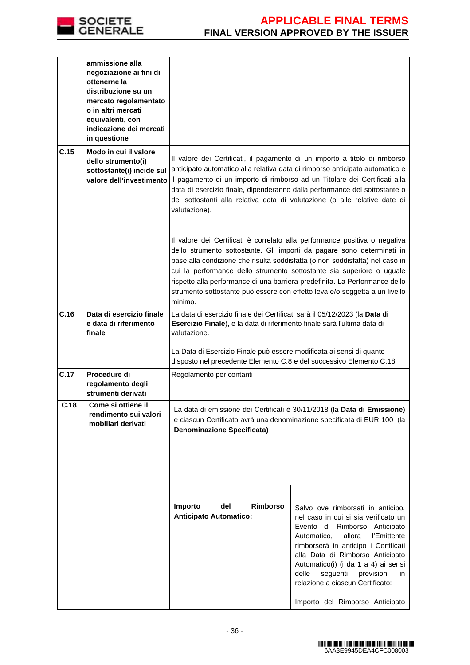

|      | ammissione alla                                                          |                                                                                                                                                                                                                                                                                                                                                                                                                                                                                        |                                                                                                                                                                                                                                                                                                                                                     |  |  |  |
|------|--------------------------------------------------------------------------|----------------------------------------------------------------------------------------------------------------------------------------------------------------------------------------------------------------------------------------------------------------------------------------------------------------------------------------------------------------------------------------------------------------------------------------------------------------------------------------|-----------------------------------------------------------------------------------------------------------------------------------------------------------------------------------------------------------------------------------------------------------------------------------------------------------------------------------------------------|--|--|--|
|      | negoziazione ai fini di<br>ottenerne la                                  |                                                                                                                                                                                                                                                                                                                                                                                                                                                                                        |                                                                                                                                                                                                                                                                                                                                                     |  |  |  |
|      | distribuzione su un                                                      |                                                                                                                                                                                                                                                                                                                                                                                                                                                                                        |                                                                                                                                                                                                                                                                                                                                                     |  |  |  |
|      | mercato regolamentato<br>o in altri mercati                              |                                                                                                                                                                                                                                                                                                                                                                                                                                                                                        |                                                                                                                                                                                                                                                                                                                                                     |  |  |  |
|      | equivalenti, con                                                         |                                                                                                                                                                                                                                                                                                                                                                                                                                                                                        |                                                                                                                                                                                                                                                                                                                                                     |  |  |  |
|      | indicazione dei mercati<br>in questione                                  |                                                                                                                                                                                                                                                                                                                                                                                                                                                                                        |                                                                                                                                                                                                                                                                                                                                                     |  |  |  |
| C.15 | Modo in cui il valore<br>dello strumento(i)<br>sottostante(i) incide sul | Il valore dei Certificati, il pagamento di un importo a titolo di rimborso<br>anticipato automatico alla relativa data di rimborso anticipato automatico e<br>valore dell'investimento il pagamento di un importo di rimborso ad un Titolare dei Certificati alla<br>data di esercizio finale, dipenderanno dalla performance del sottostante o<br>dei sottostanti alla relativa data di valutazione (o alle relative date di<br>valutazione).                                         |                                                                                                                                                                                                                                                                                                                                                     |  |  |  |
|      |                                                                          | Il valore dei Certificati è correlato alla performance positiva o negativa<br>dello strumento sottostante. Gli importi da pagare sono determinati in<br>base alla condizione che risulta soddisfatta (o non soddisfatta) nel caso in<br>cui la performance dello strumento sottostante sia superiore o uguale<br>rispetto alla performance di una barriera predefinita. La Performance dello<br>strumento sottostante può essere con effetto leva e/o soggetta a un livello<br>minimo. |                                                                                                                                                                                                                                                                                                                                                     |  |  |  |
| C.16 | Data di esercizio finale<br>e data di riferimento                        | La data di esercizio finale dei Certificati sarà il 05/12/2023 (la Data di<br>Esercizio Finale), e la data di riferimento finale sarà l'ultima data di                                                                                                                                                                                                                                                                                                                                 |                                                                                                                                                                                                                                                                                                                                                     |  |  |  |
|      | finale                                                                   | valutazione.                                                                                                                                                                                                                                                                                                                                                                                                                                                                           |                                                                                                                                                                                                                                                                                                                                                     |  |  |  |
|      |                                                                          | La Data di Esercizio Finale può essere modificata ai sensi di quanto<br>disposto nel precedente Elemento C.8 e del successivo Elemento C.18.                                                                                                                                                                                                                                                                                                                                           |                                                                                                                                                                                                                                                                                                                                                     |  |  |  |
| C.17 | Procedure di<br>regolamento degli<br>strumenti derivati                  | Regolamento per contanti                                                                                                                                                                                                                                                                                                                                                                                                                                                               |                                                                                                                                                                                                                                                                                                                                                     |  |  |  |
| C.18 | Come si ottiene il<br>rendimento sui valori                              | La data di emissione dei Certificati è 30/11/2018 (la <b>Data di Emissione</b> )                                                                                                                                                                                                                                                                                                                                                                                                       |                                                                                                                                                                                                                                                                                                                                                     |  |  |  |
|      | mobiliari derivati                                                       | e ciascun Certificato avrà una denominazione specificata di EUR 100 (la                                                                                                                                                                                                                                                                                                                                                                                                                |                                                                                                                                                                                                                                                                                                                                                     |  |  |  |
|      |                                                                          | <b>Denominazione Specificata)</b>                                                                                                                                                                                                                                                                                                                                                                                                                                                      |                                                                                                                                                                                                                                                                                                                                                     |  |  |  |
|      |                                                                          |                                                                                                                                                                                                                                                                                                                                                                                                                                                                                        |                                                                                                                                                                                                                                                                                                                                                     |  |  |  |
|      |                                                                          |                                                                                                                                                                                                                                                                                                                                                                                                                                                                                        |                                                                                                                                                                                                                                                                                                                                                     |  |  |  |
|      |                                                                          |                                                                                                                                                                                                                                                                                                                                                                                                                                                                                        |                                                                                                                                                                                                                                                                                                                                                     |  |  |  |
|      |                                                                          | Importo<br>del<br><b>Rimborso</b><br><b>Anticipato Automatico:</b>                                                                                                                                                                                                                                                                                                                                                                                                                     | Salvo ove rimborsati in anticipo,<br>nel caso in cui si sia verificato un<br>Evento di Rimborso Anticipato<br>Automatico,<br>allora<br>l'Emittente<br>rimborserà in anticipo i Certificati<br>alla Data di Rimborso Anticipato<br>Automatico(i) (i da 1 a 4) ai sensi<br>delle<br>seguenti<br>previsioni<br>in.<br>relazione a ciascun Certificato: |  |  |  |
|      |                                                                          |                                                                                                                                                                                                                                                                                                                                                                                                                                                                                        | Importo del Rimborso Anticipato                                                                                                                                                                                                                                                                                                                     |  |  |  |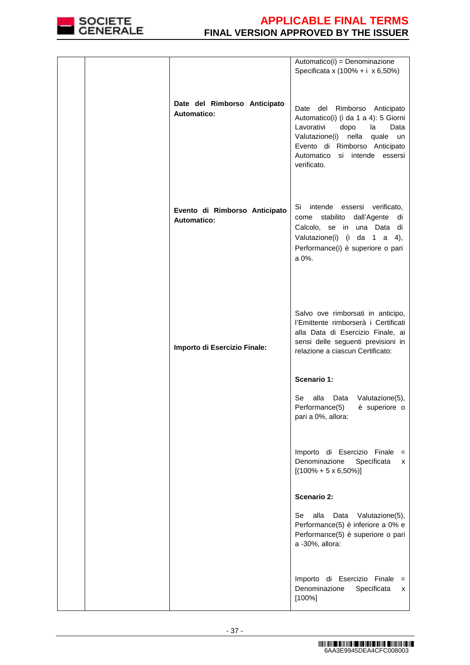

|                                                     | Automatico(i) = Denominazione<br>Specificata x (100% + i x 6,50%)                                                                                                                                                          |
|-----------------------------------------------------|----------------------------------------------------------------------------------------------------------------------------------------------------------------------------------------------------------------------------|
| Date del Rimborso Anticipato<br><b>Automatico:</b>  | Date del Rimborso Anticipato<br>Automatico(i) (i da 1 a 4): 5 Giorni<br>Lavorativi<br>dopo<br>la<br>Data<br>Valutazione(i) nella quale un<br>Evento di Rimborso Anticipato<br>Automatico si intende essersi<br>verificato. |
| Evento di Rimborso Anticipato<br><b>Automatico:</b> | Si intende essersi verificato,<br>come stabilito dall'Agente<br>di<br>Calcolo, se in una Data di<br>Valutazione(i) (i da 1 a 4),<br>Performance(i) è superiore o pari<br>a 0%.                                             |
| Importo di Esercizio Finale:                        | Salvo ove rimborsati in anticipo,<br>l'Emittente rimborserà i Certificati<br>alla Data di Esercizio Finale, ai<br>sensi delle seguenti previsioni in<br>relazione a ciascun Certificato:                                   |
|                                                     | Scenario 1:                                                                                                                                                                                                                |
|                                                     | Data Valutazione(5),<br>Se<br>alla<br>Performance(5) è superiore o<br>pari a 0%, allora:                                                                                                                                   |
|                                                     | Importo di Esercizio Finale =<br>Denominazione<br>Specificata<br>x<br>$[(100\% + 5 \times 6,50\%)]$                                                                                                                        |
|                                                     | <b>Scenario 2:</b>                                                                                                                                                                                                         |
|                                                     | alla<br>Se<br>Data<br>Valutazione(5),<br>Performance(5) è inferiore a 0% e<br>Performance(5) è superiore o pari<br>a -30%, allora:                                                                                         |
|                                                     | Importo di Esercizio Finale =<br>Denominazione<br>Specificata<br>x<br>$[100\%]$                                                                                                                                            |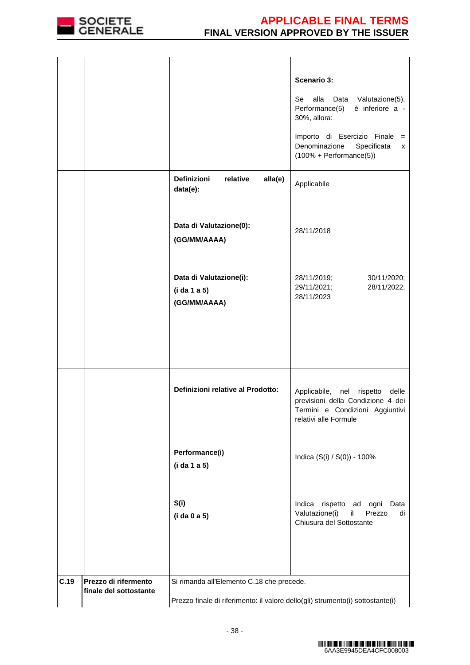

|      |                                                |                                                                                                                             | Scenario 3:<br>Se<br>alla<br>Data Valutazione(5),<br>Performance(5)<br>è inferiore a -<br>30%, allora:<br>Importo di Esercizio Finale =<br>Denominazione<br>Specificata<br>x<br>$(100% + Performance(5))$ |  |  |
|------|------------------------------------------------|-----------------------------------------------------------------------------------------------------------------------------|-----------------------------------------------------------------------------------------------------------------------------------------------------------------------------------------------------------|--|--|
|      |                                                | <b>Definizioni</b><br>relative<br>alla(e)<br>data(e):                                                                       | Applicabile                                                                                                                                                                                               |  |  |
|      |                                                | Data di Valutazione(0):<br>(GG/MM/AAAA)                                                                                     | 28/11/2018                                                                                                                                                                                                |  |  |
|      |                                                | Data di Valutazione(i):<br>(i da 1 a 5)<br>(GG/MM/AAAA)                                                                     | 28/11/2019;<br>30/11/2020;<br>29/11/2021;<br>28/11/2022;<br>28/11/2023                                                                                                                                    |  |  |
|      |                                                | Definizioni relative al Prodotto:                                                                                           | Applicabile, nel rispetto delle<br>previsioni della Condizione 4 dei<br>Termini e Condizioni Aggiuntivi<br>relativi alle Formule                                                                          |  |  |
|      |                                                | Performance(i)<br>(i da 1 a 5)                                                                                              | Indica (S(i) / S(0)) - 100%                                                                                                                                                                               |  |  |
|      |                                                | S(i)<br>(i da 0 a 5)                                                                                                        | Indica rispetto ad ogni Data<br>Valutazione(i)<br>il<br>Prezzo<br>di<br>Chiusura del Sottostante                                                                                                          |  |  |
| C.19 | Prezzo di rifermento<br>finale del sottostante | Si rimanda all'Elemento C.18 che precede.<br>Prezzo finale di riferimento: il valore dello(gli) strumento(i) sottostante(i) |                                                                                                                                                                                                           |  |  |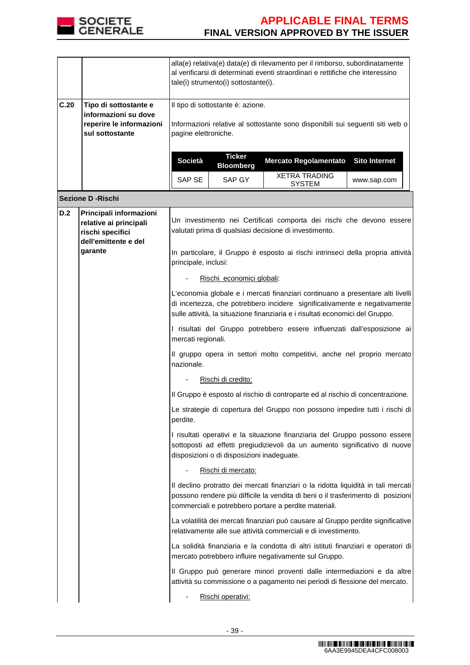

|      |                                                                                                          | alla(e) relativa(e) data(e) di rilevamento per il rimborso, subordinatamente<br>al verificarsi di determinati eventi straordinari e rettifiche che interessino<br>tale(i) strumento(i) sottostante(i).                                       |                                   |                                                                                                                                                                                                                    |                      |  |  |
|------|----------------------------------------------------------------------------------------------------------|----------------------------------------------------------------------------------------------------------------------------------------------------------------------------------------------------------------------------------------------|-----------------------------------|--------------------------------------------------------------------------------------------------------------------------------------------------------------------------------------------------------------------|----------------------|--|--|
| C.20 | Tipo di sottostante e<br>informazioni su dove<br>reperire le informazioni<br>sul sottostante             | Il tipo di sottostante è: azione.<br>Informazioni relative al sottostante sono disponibili sui seguenti siti web o<br>pagine elettroniche.                                                                                                   |                                   |                                                                                                                                                                                                                    |                      |  |  |
|      |                                                                                                          | <b>Società</b>                                                                                                                                                                                                                               | <b>Ticker</b><br><b>Bloomberg</b> | <b>Mercato Regolamentato</b>                                                                                                                                                                                       | <b>Sito Internet</b> |  |  |
|      |                                                                                                          | SAP SE                                                                                                                                                                                                                                       | SAP GY                            | <b>XETRA TRADING</b><br><b>SYSTEM</b>                                                                                                                                                                              | www.sap.com          |  |  |
|      | <b>Sezione D - Rischi</b>                                                                                |                                                                                                                                                                                                                                              |                                   |                                                                                                                                                                                                                    |                      |  |  |
| D.2  | Principali informazioni<br>relative ai principali<br>rischi specifici<br>dell'emittente e del<br>garante | principale, inclusi:                                                                                                                                                                                                                         |                                   | Un investimento nei Certificati comporta dei rischi che devono essere<br>valutati prima di qualsiasi decisione di investimento.<br>In particolare, il Gruppo è esposto ai rischi intrinseci della propria attività |                      |  |  |
|      |                                                                                                          |                                                                                                                                                                                                                                              | Rischi economici globali:         |                                                                                                                                                                                                                    |                      |  |  |
|      |                                                                                                          | L'economia globale e i mercati finanziari continuano a presentare alti livelli<br>di incertezza, che potrebbero incidere significativamente e negativamente<br>sulle attività, la situazione finanziaria e i risultati economici del Gruppo. |                                   |                                                                                                                                                                                                                    |                      |  |  |
|      |                                                                                                          | I risultati del Gruppo potrebbero essere influenzati dall'esposizione ai<br>mercati regionali.<br>Il gruppo opera in settori molto competitivi, anche nel proprio mercato<br>nazionale.                                                      |                                   |                                                                                                                                                                                                                    |                      |  |  |
|      |                                                                                                          |                                                                                                                                                                                                                                              |                                   |                                                                                                                                                                                                                    |                      |  |  |
|      |                                                                                                          | Rischi di credito:<br>Il Gruppo è esposto al rischio di controparte ed al rischio di concentrazione.                                                                                                                                         |                                   |                                                                                                                                                                                                                    |                      |  |  |
|      |                                                                                                          |                                                                                                                                                                                                                                              |                                   |                                                                                                                                                                                                                    |                      |  |  |
|      |                                                                                                          | Le strategie di copertura del Gruppo non possono impedire tutti i rischi di<br>perdite.                                                                                                                                                      |                                   |                                                                                                                                                                                                                    |                      |  |  |
|      |                                                                                                          | I risultati operativi e la situazione finanziaria del Gruppo possono essere<br>sottoposti ad effetti pregiudizievoli da un aumento significativo di nuove<br>disposizioni o di disposizioni inadeguate.                                      |                                   |                                                                                                                                                                                                                    |                      |  |  |
|      |                                                                                                          |                                                                                                                                                                                                                                              | Rischi di mercato:                |                                                                                                                                                                                                                    |                      |  |  |
|      |                                                                                                          | Il declino protratto dei mercati finanziari o la ridotta liquidità in tali mercati<br>possono rendere più difficile la vendita di beni o il trasferimento di posizioni<br>commerciali e potrebbero portare a perdite materiali.              |                                   |                                                                                                                                                                                                                    |                      |  |  |
|      |                                                                                                          |                                                                                                                                                                                                                                              |                                   | La volatilità dei mercati finanziari può causare al Gruppo perdite significative<br>relativamente alle sue attività commerciali e di investimento.                                                                 |                      |  |  |
|      |                                                                                                          |                                                                                                                                                                                                                                              |                                   | La solidità finanziaria e la condotta di altri istituti finanziari e operatori di<br>mercato potrebbero influire negativamente sul Gruppo.                                                                         |                      |  |  |
|      |                                                                                                          |                                                                                                                                                                                                                                              |                                   | Il Gruppo può generare minori proventi dalle intermediazioni e da altre<br>attività su commissione o a pagamento nei periodi di flessione del mercato.                                                             |                      |  |  |
|      |                                                                                                          |                                                                                                                                                                                                                                              | Rischi operativi:                 |                                                                                                                                                                                                                    |                      |  |  |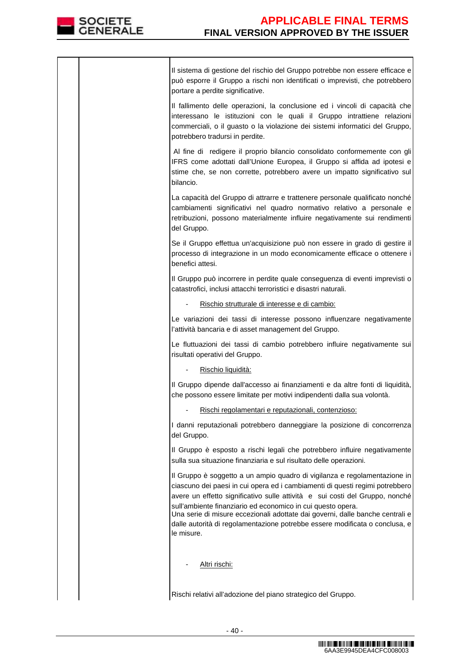

|  | Il sistema di gestione del rischio del Gruppo potrebbe non essere efficace e<br>può esporre il Gruppo a rischi non identificati o imprevisti, che potrebbero<br>portare a perdite significative.                                                                                                                                                                                                                                                                                       |
|--|----------------------------------------------------------------------------------------------------------------------------------------------------------------------------------------------------------------------------------------------------------------------------------------------------------------------------------------------------------------------------------------------------------------------------------------------------------------------------------------|
|  | Il fallimento delle operazioni, la conclusione ed i vincoli di capacità che<br>interessano le istituzioni con le quali il Gruppo intrattiene relazioni<br>commerciali, o il guasto o la violazione dei sistemi informatici del Gruppo,<br>potrebbero tradursi in perdite.                                                                                                                                                                                                              |
|  | Al fine di redigere il proprio bilancio consolidato conformemente con gli<br>IFRS come adottati dall'Unione Europea, il Gruppo si affida ad ipotesi e<br>stime che, se non corrette, potrebbero avere un impatto significativo sul<br>bilancio.                                                                                                                                                                                                                                        |
|  | La capacità del Gruppo di attrarre e trattenere personale qualificato nonché<br>cambiamenti significativi nel quadro normativo relativo a personale e<br>retribuzioni, possono materialmente influire negativamente sui rendimenti<br>del Gruppo.                                                                                                                                                                                                                                      |
|  | Se il Gruppo effettua un'acquisizione può non essere in grado di gestire il<br>processo di integrazione in un modo economicamente efficace o ottenere i<br>benefici attesi.                                                                                                                                                                                                                                                                                                            |
|  | Il Gruppo può incorrere in perdite quale conseguenza di eventi imprevisti o<br>catastrofici, inclusi attacchi terroristici e disastri naturali.                                                                                                                                                                                                                                                                                                                                        |
|  | Rischio strutturale di interesse e di cambio:                                                                                                                                                                                                                                                                                                                                                                                                                                          |
|  | Le variazioni dei tassi di interesse possono influenzare negativamente<br>l'attività bancaria e di asset management del Gruppo.                                                                                                                                                                                                                                                                                                                                                        |
|  | Le fluttuazioni dei tassi di cambio potrebbero influire negativamente sui<br>risultati operativi del Gruppo.                                                                                                                                                                                                                                                                                                                                                                           |
|  | Rischio liquidità:                                                                                                                                                                                                                                                                                                                                                                                                                                                                     |
|  | Il Gruppo dipende dall'accesso ai finanziamenti e da altre fonti di liquidità,<br>che possono essere limitate per motivi indipendenti dalla sua volontà.                                                                                                                                                                                                                                                                                                                               |
|  | Rischi regolamentari e reputazionali, contenzioso:                                                                                                                                                                                                                                                                                                                                                                                                                                     |
|  | I danni reputazionali potrebbero danneggiare la posizione di concorrenza<br>del Gruppo.                                                                                                                                                                                                                                                                                                                                                                                                |
|  | Il Gruppo è esposto a rischi legali che potrebbero influire negativamente<br>sulla sua situazione finanziaria e sul risultato delle operazioni.                                                                                                                                                                                                                                                                                                                                        |
|  | Il Gruppo è soggetto a un ampio quadro di vigilanza e regolamentazione in<br>ciascuno dei paesi in cui opera ed i cambiamenti di questi regimi potrebbero<br>avere un effetto significativo sulle attività e sui costi del Gruppo, nonché<br>sull'ambiente finanziario ed economico in cui questo opera.<br>Una serie di misure eccezionali adottate dai governi, dalle banche centrali e<br>dalle autorità di regolamentazione potrebbe essere modificata o conclusa, e<br>le misure. |
|  | Altri rischi:                                                                                                                                                                                                                                                                                                                                                                                                                                                                          |
|  | Rischi relativi all'adozione del piano strategico del Gruppo.                                                                                                                                                                                                                                                                                                                                                                                                                          |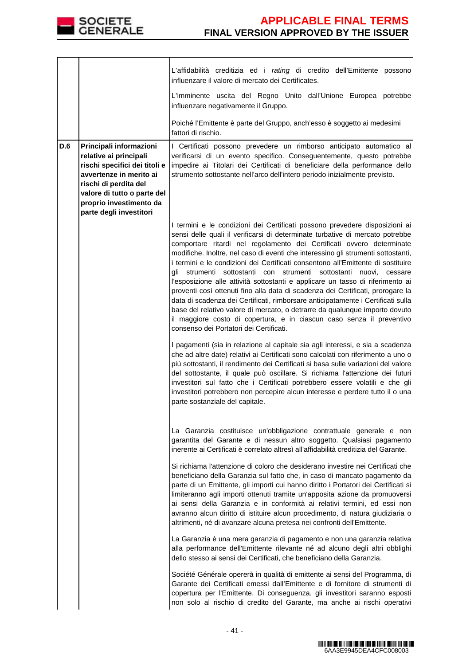

|     |                                                                                                                                                                                                                             | L'affidabilità creditizia ed i rating di credito dell'Emittente possono<br>influenzare il valore di mercato dei Certificates.                                                                                                                                                                                                                                                                                                                                                                                                                                                                                                                                                                                                                                                                                                                                                                                                                    |
|-----|-----------------------------------------------------------------------------------------------------------------------------------------------------------------------------------------------------------------------------|--------------------------------------------------------------------------------------------------------------------------------------------------------------------------------------------------------------------------------------------------------------------------------------------------------------------------------------------------------------------------------------------------------------------------------------------------------------------------------------------------------------------------------------------------------------------------------------------------------------------------------------------------------------------------------------------------------------------------------------------------------------------------------------------------------------------------------------------------------------------------------------------------------------------------------------------------|
|     |                                                                                                                                                                                                                             | L'imminente uscita del Regno Unito dall'Unione Europea potrebbe<br>influenzare negativamente il Gruppo.                                                                                                                                                                                                                                                                                                                                                                                                                                                                                                                                                                                                                                                                                                                                                                                                                                          |
|     |                                                                                                                                                                                                                             | Poiché l'Emittente è parte del Gruppo, anch'esso è soggetto ai medesimi<br>fattori di rischio.                                                                                                                                                                                                                                                                                                                                                                                                                                                                                                                                                                                                                                                                                                                                                                                                                                                   |
| D.6 | Principali informazioni<br>relative ai principali<br>rischi specifici dei titoli e<br>avvertenze in merito ai<br>rischi di perdita del<br>valore di tutto o parte del<br>proprio investimento da<br>parte degli investitori | I Certificati possono prevedere un rimborso anticipato automatico al<br>verificarsi di un evento specifico. Conseguentemente, questo potrebbe<br>impedire ai Titolari dei Certificati di beneficiare della performance dello<br>strumento sottostante nell'arco dell'intero periodo inizialmente previsto.                                                                                                                                                                                                                                                                                                                                                                                                                                                                                                                                                                                                                                       |
|     |                                                                                                                                                                                                                             | I termini e le condizioni dei Certificati possono prevedere disposizioni ai<br>sensi delle quali il verificarsi di determinate turbative di mercato potrebbe<br>comportare ritardi nel regolamento dei Certificati ovvero determinate<br>modifiche. Inoltre, nel caso di eventi che interessino gli strumenti sottostanti,<br>i termini e le condizioni dei Certificati consentono all'Emittente di sostituire<br>gli strumenti sottostanti con strumenti sottostanti nuovi, cessare<br>l'esposizione alle attività sottostanti e applicare un tasso di riferimento ai<br>proventi così ottenuti fino alla data di scadenza dei Certificati, prorogare la<br>data di scadenza dei Certificati, rimborsare anticipatamente i Certificati sulla<br>base del relativo valore di mercato, o detrarre da qualunque importo dovuto<br>il maggiore costo di copertura, e in ciascun caso senza il preventivo<br>consenso dei Portatori dei Certificati. |
|     |                                                                                                                                                                                                                             | I pagamenti (sia in relazione al capitale sia agli interessi, e sia a scadenza<br>che ad altre date) relativi ai Certificati sono calcolati con riferimento a uno o<br>più sottostanti, il rendimento dei Certificati si basa sulle variazioni del valore<br>del sottostante, il quale può oscillare. Si richiama l'attenzione dei futuri<br>investitori sul fatto che i Certificati potrebbero essere volatili e che gli<br>investitori potrebbero non percepire alcun interesse e perdere tutto il o una<br>parte sostanziale del capitale.                                                                                                                                                                                                                                                                                                                                                                                                    |
|     |                                                                                                                                                                                                                             | La Garanzia costituisce un'obbligazione contrattuale generale e non<br>garantita del Garante e di nessun altro soggetto. Qualsiasi pagamento<br>inerente ai Certificati è correlato altresì all'affidabilità creditizia del Garante.                                                                                                                                                                                                                                                                                                                                                                                                                                                                                                                                                                                                                                                                                                             |
|     |                                                                                                                                                                                                                             | Si richiama l'attenzione di coloro che desiderano investire nei Certificati che<br>beneficiano della Garanzia sul fatto che, in caso di mancato pagamento da<br>parte di un Emittente, gli importi cui hanno diritto i Portatori dei Certificati si<br>limiteranno agli importi ottenuti tramite un'apposita azione da promuoversi<br>ai sensi della Garanzia e in conformità ai relativi termini, ed essi non<br>avranno alcun diritto di istituire alcun procedimento, di natura giudiziaria o<br>altrimenti, né di avanzare alcuna pretesa nei confronti dell'Emittente.                                                                                                                                                                                                                                                                                                                                                                      |
|     |                                                                                                                                                                                                                             | La Garanzia è una mera garanzia di pagamento e non una garanzia relativa<br>alla performance dell'Emittente rilevante né ad alcuno degli altri obblighi<br>dello stesso ai sensi dei Certificati, che beneficiano della Garanzia.                                                                                                                                                                                                                                                                                                                                                                                                                                                                                                                                                                                                                                                                                                                |
|     |                                                                                                                                                                                                                             | Société Générale opererà in qualità di emittente ai sensi del Programma, di<br>Garante dei Certificati emessi dall'Emittente e di fornitore di strumenti di<br>copertura per l'Emittente. Di conseguenza, gli investitori saranno esposti<br>non solo al rischio di credito del Garante, ma anche ai rischi operativi                                                                                                                                                                                                                                                                                                                                                                                                                                                                                                                                                                                                                            |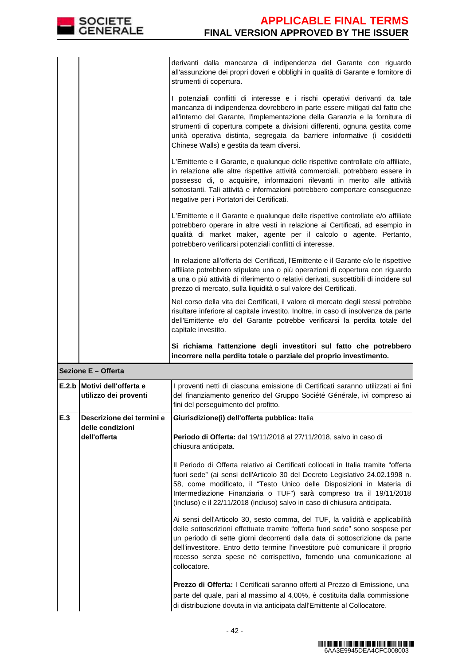derivanti dalla mancanza di indipendenza del Garante con riguardo all'assunzione dei propri doveri e obblighi in qualità di Garante e fornitore di strumenti di copertura.

I potenziali conflitti di interesse e i rischi operativi derivanti da tale mancanza di indipendenza dovrebbero in parte essere mitigati dal fatto che all'interno del Garante, l'implementazione della Garanzia e la fornitura di strumenti di copertura compete a divisioni differenti, ognuna gestita come unità operativa distinta, segregata da barriere informative (i cosiddetti Chinese Walls) e gestita da team diversi.

L'Emittente e il Garante, e qualunque delle rispettive controllate e/o affiliate, in relazione alle altre rispettive attività commerciali, potrebbero essere in possesso di, o acquisire, informazioni rilevanti in merito alle attività sottostanti. Tali attività e informazioni potrebbero comportare conseguenze negative per i Portatori dei Certificati.

L'Emittente e il Garante e qualunque delle rispettive controllate e/o affiliate potrebbero operare in altre vesti in relazione ai Certificati, ad esempio in qualità di market maker, agente per il calcolo o agente. Pertanto, potrebbero verificarsi potenziali conflitti di interesse.

In relazione all'offerta dei Certificati, l'Emittente e il Garante e/o le rispettive affiliate potrebbero stipulate una o più operazioni di copertura con riguardo a una o più attività di riferimento o relativi derivati, suscettibili di incidere sul prezzo di mercato, sulla liquidità o sul valore dei Certificati.

 Nel corso della vita dei Certificati, il valore di mercato degli stessi potrebbe risultare inferiore al capitale investito. Inoltre, in caso di insolvenza da parte dell'Emittente e/o del Garante potrebbe verificarsi la perdita totale del capitale investito.

**Si richiama l'attenzione degli investitori sul fatto che potrebbero incorrere nella perdita totale o parziale del proprio investimento.**

| Sezione E - Offerta |  |
|---------------------|--|
|                     |  |

|     | E.2.b Motivi dell'offerta e<br>utilizzo dei proventi | I proventi netti di ciascuna emissione di Certificati saranno utilizzati ai fini <br>del finanziamento generico del Gruppo Société Générale, ivi compreso ai<br>fini del perseguimento del profitto.                                                                                                                                                                                                                 |
|-----|------------------------------------------------------|----------------------------------------------------------------------------------------------------------------------------------------------------------------------------------------------------------------------------------------------------------------------------------------------------------------------------------------------------------------------------------------------------------------------|
| E.3 | Descrizione dei termini e<br>delle condizioni        | Giurisdizione(i) dell'offerta pubblica: Italia                                                                                                                                                                                                                                                                                                                                                                       |
|     | dell'offerta                                         | Periodo di Offerta: dal 19/11/2018 al 27/11/2018, salvo in caso di<br>chiusura anticipata.                                                                                                                                                                                                                                                                                                                           |
|     |                                                      | Il Periodo di Offerta relativo ai Certificati collocati in Italia tramite "offerta<br>fuori sede" (ai sensi dell'Articolo 30 del Decreto Legislativo 24.02.1998 n.<br>58, come modificato, il "Testo Unico delle Disposizioni in Materia di<br>Intermediazione Finanziaria o TUF") sarà compreso tra il 19/11/2018<br>(incluso) e il 22/11/2018 (incluso) salvo in caso di chiusura anticipata.                      |
|     |                                                      | Ai sensi dell'Articolo 30, sesto comma, del TUF, la validità e applicabilità<br>delle sottoscrizioni effettuate tramite "offerta fuori sede" sono sospese per<br>un periodo di sette giorni decorrenti dalla data di sottoscrizione da parte<br>dell'investitore. Entro detto termine l'investitore può comunicare il proprio<br>recesso senza spese né corrispettivo, fornendo una comunicazione al<br>collocatore. |
|     |                                                      | Prezzo di Offerta: I Certificati saranno offerti al Prezzo di Emissione, una<br>parte del quale, pari al massimo al 4,00%, è costituita dalla commissione<br>di distribuzione dovuta in via anticipata dall'Emittente al Collocatore.                                                                                                                                                                                |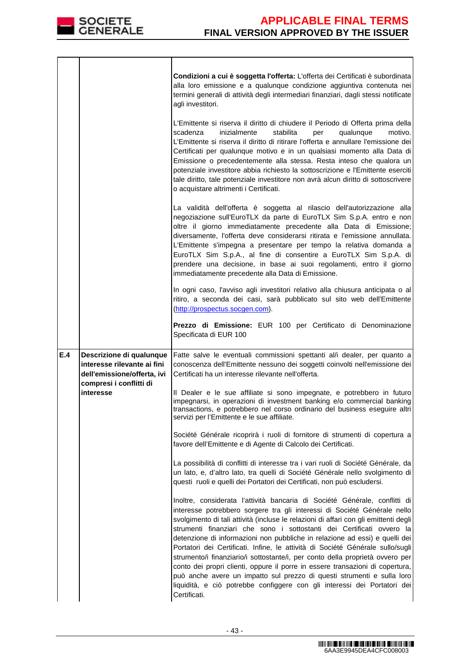

|     |                                                                                        | Condizioni a cui è soggetta l'offerta: L'offerta dei Certificati è subordinata<br>alla loro emissione e a qualunque condizione aggiuntiva contenuta nei<br>termini generali di attività degli intermediari finanziari, dagli stessi notificate<br>agli investitori.<br>L'Emittente si riserva il diritto di chiudere il Periodo di Offerta prima della                                                                                                                                                                                                                                                                                                                                                                                                                                                                           |
|-----|----------------------------------------------------------------------------------------|----------------------------------------------------------------------------------------------------------------------------------------------------------------------------------------------------------------------------------------------------------------------------------------------------------------------------------------------------------------------------------------------------------------------------------------------------------------------------------------------------------------------------------------------------------------------------------------------------------------------------------------------------------------------------------------------------------------------------------------------------------------------------------------------------------------------------------|
|     |                                                                                        | scadenza<br>inizialmente<br>stabilita<br>qualunque<br>motivo.<br>per<br>L'Emittente si riserva il diritto di ritirare l'offerta e annullare l'emissione dei<br>Certificati per qualunque motivo e in un qualsiasi momento alla Data di<br>Emissione o precedentemente alla stessa. Resta inteso che qualora un<br>potenziale investitore abbia richiesto la sottoscrizione e l'Emittente eserciti<br>tale diritto, tale potenziale investitore non avrà alcun diritto di sottoscrivere<br>o acquistare altrimenti i Certificati.                                                                                                                                                                                                                                                                                                 |
|     |                                                                                        | La validità dell'offerta è soggetta al rilascio dell'autorizzazione alla<br>negoziazione sull'EuroTLX da parte di EuroTLX Sim S.p.A. entro e non<br>oltre il giorno immediatamente precedente alla Data di Emissione;<br>diversamente, l'offerta deve considerarsi ritirata e l'emissione annullata.<br>L'Emittente s'impegna a presentare per tempo la relativa domanda a<br>EuroTLX Sim S.p.A., al fine di consentire a EuroTLX Sim S.p.A. di<br>prendere una decisione, in base ai suoi regolamenti, entro il giorno<br>immediatamente precedente alla Data di Emissione.                                                                                                                                                                                                                                                     |
|     |                                                                                        | In ogni caso, l'avviso agli investitori relativo alla chiusura anticipata o al<br>ritiro, a seconda dei casi, sarà pubblicato sul sito web dell'Emittente<br>(http://prospectus.socgen.com).                                                                                                                                                                                                                                                                                                                                                                                                                                                                                                                                                                                                                                     |
|     |                                                                                        | Prezzo di Emissione: EUR 100 per Certificato di Denominazione<br>Specificata di EUR 100                                                                                                                                                                                                                                                                                                                                                                                                                                                                                                                                                                                                                                                                                                                                          |
| E.4 | Descrizione di qualunque<br>interesse rilevante ai fini<br>dell'emissione/offerta, ivi | Fatte salve le eventuali commissioni spettanti al/i dealer, per quanto a<br>conoscenza dell'Emittente nessuno dei soggetti coinvolti nell'emissione dei<br>Certificati ha un interesse rilevante nell'offerta.                                                                                                                                                                                                                                                                                                                                                                                                                                                                                                                                                                                                                   |
|     | compresi i conflitti di<br>interesse                                                   | Il Dealer e le sue affiliate si sono impegnate, e potrebbero in futuro<br>impegnarsi, in operazioni di investment banking e/o commercial banking<br>transactions, e potrebbero nel corso ordinario del business eseguire altri<br>servizi per l'Emittente e le sue affiliate.                                                                                                                                                                                                                                                                                                                                                                                                                                                                                                                                                    |
|     |                                                                                        | Société Générale ricoprirà i ruoli di fornitore di strumenti di copertura a<br>favore dell'Emittente e di Agente di Calcolo dei Certificati.                                                                                                                                                                                                                                                                                                                                                                                                                                                                                                                                                                                                                                                                                     |
|     |                                                                                        | La possibilità di conflitti di interesse tra i vari ruoli di Société Générale, da<br>un lato, e, d'altro lato, tra quelli di Société Générale nello svolgimento di<br>questi ruoli e quelli dei Portatori dei Certificati, non può escludersi.                                                                                                                                                                                                                                                                                                                                                                                                                                                                                                                                                                                   |
|     |                                                                                        | Inoltre, considerata l'attività bancaria di Société Générale, conflitti di<br>interesse potrebbero sorgere tra gli interessi di Société Générale nello<br>svolgimento di tali attività (incluse le relazioni di affari con gli emittenti degli<br>strumenti finanziari che sono i sottostanti dei Certificati ovvero la<br>detenzione di informazioni non pubbliche in relazione ad essi) e quelli dei<br>Portatori dei Certificati. Infine, le attività di Société Générale sullo/sugli<br>strumento/i finanziario/i sottostante/i, per conto della proprietà ovvero per<br>conto dei propri clienti, oppure il porre in essere transazioni di copertura,<br>può anche avere un impatto sul prezzo di questi strumenti e sulla loro<br>liquidità, e ciò potrebbe configgere con gli interessi dei Portatori dei<br>Certificati. |